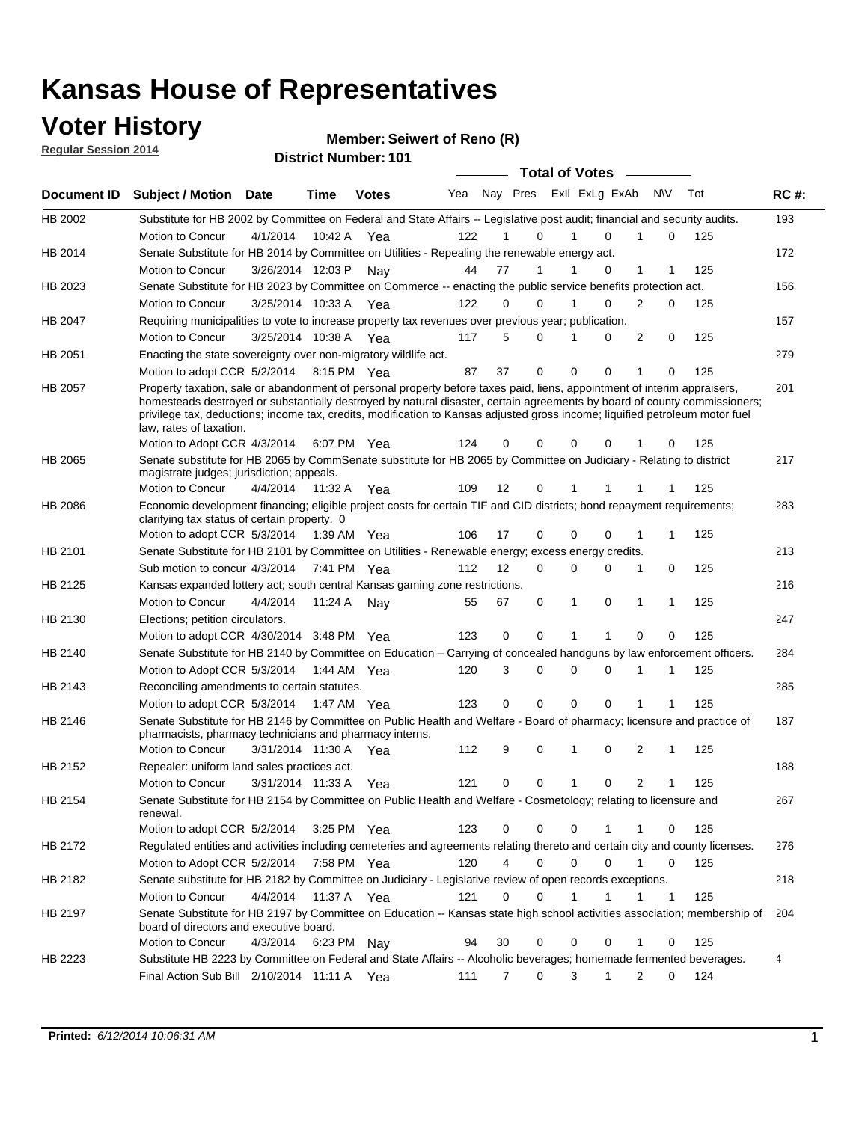### **Voter History**

**Regular Session 2014**

#### **Member: Seiwert of Reno (R)**

|             |                                                                                                                                                                                                                                                                                                                                                                                                                  |                       |             | <b>DISTING MAILINGL.</b> IVI |     |    |             | <b>Total of Votes</b>      |              |                     |     |             |
|-------------|------------------------------------------------------------------------------------------------------------------------------------------------------------------------------------------------------------------------------------------------------------------------------------------------------------------------------------------------------------------------------------------------------------------|-----------------------|-------------|------------------------------|-----|----|-------------|----------------------------|--------------|---------------------|-----|-------------|
| Document ID | <b>Subject / Motion</b>                                                                                                                                                                                                                                                                                                                                                                                          | Date                  | Time        | <b>Votes</b>                 | Yea |    |             | Nay Pres Exll ExLg ExAb    |              | <b>NV</b>           | Tot | <b>RC#:</b> |
| HB 2002     | Substitute for HB 2002 by Committee on Federal and State Affairs -- Legislative post audit; financial and security audits.                                                                                                                                                                                                                                                                                       |                       |             |                              |     |    |             |                            |              |                     |     | 193         |
|             | Motion to Concur                                                                                                                                                                                                                                                                                                                                                                                                 | 4/1/2014              | 10:42 A     | Yea                          | 122 |    | 0           | $\Omega$                   |              | 0                   | 125 |             |
| HB 2014     | Senate Substitute for HB 2014 by Committee on Utilities - Repealing the renewable energy act.                                                                                                                                                                                                                                                                                                                    |                       |             |                              |     |    |             |                            |              |                     |     | 172         |
|             | Motion to Concur                                                                                                                                                                                                                                                                                                                                                                                                 | 3/26/2014 12:03 P Nay |             |                              | 44  | 77 | 1           | 0                          | 1            | 1                   | 125 |             |
| HB 2023     | Senate Substitute for HB 2023 by Committee on Commerce -- enacting the public service benefits protection act.                                                                                                                                                                                                                                                                                                   |                       |             |                              |     |    |             |                            |              |                     |     | 156         |
|             | Motion to Concur                                                                                                                                                                                                                                                                                                                                                                                                 | 3/25/2014 10:33 A Yea |             |                              | 122 | 0  | 0           | 0<br>1                     | 2            | 0                   | 125 |             |
| HB 2047     | Requiring municipalities to vote to increase property tax revenues over previous year; publication.                                                                                                                                                                                                                                                                                                              |                       |             |                              |     |    |             |                            |              |                     |     | 157         |
|             | Motion to Concur                                                                                                                                                                                                                                                                                                                                                                                                 | 3/25/2014 10:38 A Yea |             |                              | 117 | 5  | 0           | 0                          | 2            | 0                   | 125 |             |
| HB 2051     | Enacting the state sovereignty over non-migratory wildlife act.                                                                                                                                                                                                                                                                                                                                                  |                       |             |                              |     |    |             |                            |              |                     |     | 279         |
|             | Motion to adopt CCR 5/2/2014                                                                                                                                                                                                                                                                                                                                                                                     |                       | 8:15 PM Yea |                              | 87  | 37 | $\mathbf 0$ | $\mathbf 0$<br>0           | 1            | 0                   | 125 |             |
| HB 2057     | Property taxation, sale or abandonment of personal property before taxes paid, liens, appointment of interim appraisers,<br>homesteads destroyed or substantially destroyed by natural disaster, certain agreements by board of county commissioners;<br>privilege tax, deductions; income tax, credits, modification to Kansas adjusted gross income; liquified petroleum motor fuel<br>law, rates of taxation. |                       |             |                              |     |    |             |                            |              |                     |     | 201         |
|             | Motion to Adopt CCR 4/3/2014                                                                                                                                                                                                                                                                                                                                                                                     |                       |             | 6:07 PM Yea                  | 124 | 0  | 0           | $\mathbf 0$<br>0           |              | 0                   | 125 |             |
| HB 2065     | Senate substitute for HB 2065 by CommSenate substitute for HB 2065 by Committee on Judiciary - Relating to district<br>magistrate judges; jurisdiction; appeals.                                                                                                                                                                                                                                                 |                       |             |                              |     |    |             |                            |              |                     |     | 217         |
|             | Motion to Concur                                                                                                                                                                                                                                                                                                                                                                                                 | 4/4/2014              | 11:32 A     | Yea                          | 109 | 12 | 0           | 1                          |              |                     | 125 |             |
| HB 2086     | Economic development financing; eligible project costs for certain TIF and CID districts; bond repayment requirements;<br>clarifying tax status of certain property. 0                                                                                                                                                                                                                                           |                       |             |                              |     |    |             |                            |              |                     |     | 283         |
|             | Motion to adopt CCR 5/3/2014                                                                                                                                                                                                                                                                                                                                                                                     |                       | 1:39 AM Yea |                              | 106 | 17 | 0           | $\mathbf 0$<br>$\Omega$    | 1            | 1                   | 125 |             |
| HB 2101     | Senate Substitute for HB 2101 by Committee on Utilities - Renewable energy; excess energy credits.                                                                                                                                                                                                                                                                                                               |                       |             |                              |     |    |             |                            |              |                     |     | 213         |
|             | Sub motion to concur 4/3/2014                                                                                                                                                                                                                                                                                                                                                                                    |                       |             | 7:41 PM Yea                  | 112 | 12 | 0           | $\mathbf 0$<br>$\mathbf 0$ | 1            | 0                   | 125 |             |
| HB 2125     | Kansas expanded lottery act; south central Kansas gaming zone restrictions.                                                                                                                                                                                                                                                                                                                                      |                       |             |                              |     |    |             |                            |              |                     |     | 216         |
|             | Motion to Concur                                                                                                                                                                                                                                                                                                                                                                                                 | 4/4/2014              | 11:24 A     | Nav                          | 55  | 67 | 0           | 1<br>0                     | 1            | 1                   | 125 |             |
| HB 2130     | Elections; petition circulators.                                                                                                                                                                                                                                                                                                                                                                                 |                       |             |                              |     |    |             |                            |              |                     |     | 247         |
|             | Motion to adopt CCR 4/30/2014 3:48 PM Yea                                                                                                                                                                                                                                                                                                                                                                        |                       |             |                              | 123 | 0  | 0           |                            | $\Omega$     | 0                   | 125 |             |
| HB 2140     | Senate Substitute for HB 2140 by Committee on Education – Carrying of concealed handguns by law enforcement officers.                                                                                                                                                                                                                                                                                            |                       |             |                              |     |    |             |                            |              |                     |     | 284         |
|             | Motion to Adopt CCR 5/3/2014                                                                                                                                                                                                                                                                                                                                                                                     |                       |             | 1:44 AM Yea                  | 120 | 3  | 0           | $\mathbf 0$<br>$\mathbf 0$ | 1            | 1                   | 125 |             |
| HB 2143     | Reconciling amendments to certain statutes.                                                                                                                                                                                                                                                                                                                                                                      |                       |             |                              |     |    |             |                            |              |                     |     | 285         |
|             | Motion to adopt CCR 5/3/2014                                                                                                                                                                                                                                                                                                                                                                                     |                       | 1:47 AM Yea |                              | 123 | 0  | 0           | $\mathbf 0$<br>$\mathbf 0$ | 1            | 1                   | 125 |             |
| HB 2146     | Senate Substitute for HB 2146 by Committee on Public Health and Welfare - Board of pharmacy; licensure and practice of<br>pharmacists, pharmacy technicians and pharmacy interns.                                                                                                                                                                                                                                |                       |             |                              |     |    |             |                            |              |                     |     | 187         |
|             | Motion to Concur                                                                                                                                                                                                                                                                                                                                                                                                 | 3/31/2014 11:30 A     |             | Yea                          | 112 | 9  | 0           | $\mathbf 0$<br>1           | 2            | 1                   | 125 |             |
| HB 2152     | Repealer: uniform land sales practices act.                                                                                                                                                                                                                                                                                                                                                                      |                       |             |                              |     |    |             |                            |              |                     |     | 188         |
|             | Motion to Concur                                                                                                                                                                                                                                                                                                                                                                                                 | 3/31/2014 11:33 A     |             | Yea                          | 121 | 0  | 0           | 1<br>0                     |              | $\overline{2}$<br>1 | 125 |             |
| HB 2154     | Senate Substitute for HB 2154 by Committee on Public Health and Welfare - Cosmetology; relating to licensure and<br>renewal.                                                                                                                                                                                                                                                                                     |                       |             |                              |     |    |             |                            |              |                     |     | 267         |
|             | Motion to adopt CCR 5/2/2014                                                                                                                                                                                                                                                                                                                                                                                     |                       |             | 3:25 PM Yea                  | 123 | 0  | 0           | 0<br>1                     | 1            | 0                   | 125 |             |
| HB 2172     | Regulated entities and activities including cemeteries and agreements relating thereto and certain city and county licenses.                                                                                                                                                                                                                                                                                     |                       |             |                              |     |    |             |                            |              |                     |     | 276         |
|             | Motion to Adopt CCR 5/2/2014                                                                                                                                                                                                                                                                                                                                                                                     |                       |             | 7:58 PM Yea                  | 120 | 4  | $\mathbf 0$ | $\mathbf 0$<br>$\Omega$    | $\mathbf{1}$ | $\mathbf 0$         | 125 |             |
| HB 2182     | Senate substitute for HB 2182 by Committee on Judiciary - Legislative review of open records exceptions.                                                                                                                                                                                                                                                                                                         |                       |             |                              |     |    |             |                            |              |                     |     | 218         |
|             | Motion to Concur                                                                                                                                                                                                                                                                                                                                                                                                 | 4/4/2014              | 11:37 A Yea |                              | 121 | 0  | $\mathbf 0$ | 1<br>1                     | 1            | $\mathbf{1}$        | 125 |             |
| HB 2197     | Senate Substitute for HB 2197 by Committee on Education -- Kansas state high school activities association; membership of<br>board of directors and executive board.                                                                                                                                                                                                                                             |                       |             |                              |     |    |             |                            |              |                     |     | 204         |
|             | Motion to Concur                                                                                                                                                                                                                                                                                                                                                                                                 | 4/3/2014              |             | 6:23 PM Nay                  | 94  | 30 | 0           | 0<br>0                     | 1            | 0                   | 125 |             |
| HB 2223     | Substitute HB 2223 by Committee on Federal and State Affairs -- Alcoholic beverages; homemade fermented beverages.                                                                                                                                                                                                                                                                                               |                       |             |                              |     |    |             |                            |              |                     |     | 4           |
|             | Final Action Sub Bill 2/10/2014 11:11 A Yea                                                                                                                                                                                                                                                                                                                                                                      |                       |             |                              | 111 | 7  | 0           | 3<br>1                     | 2            | 0                   | 124 |             |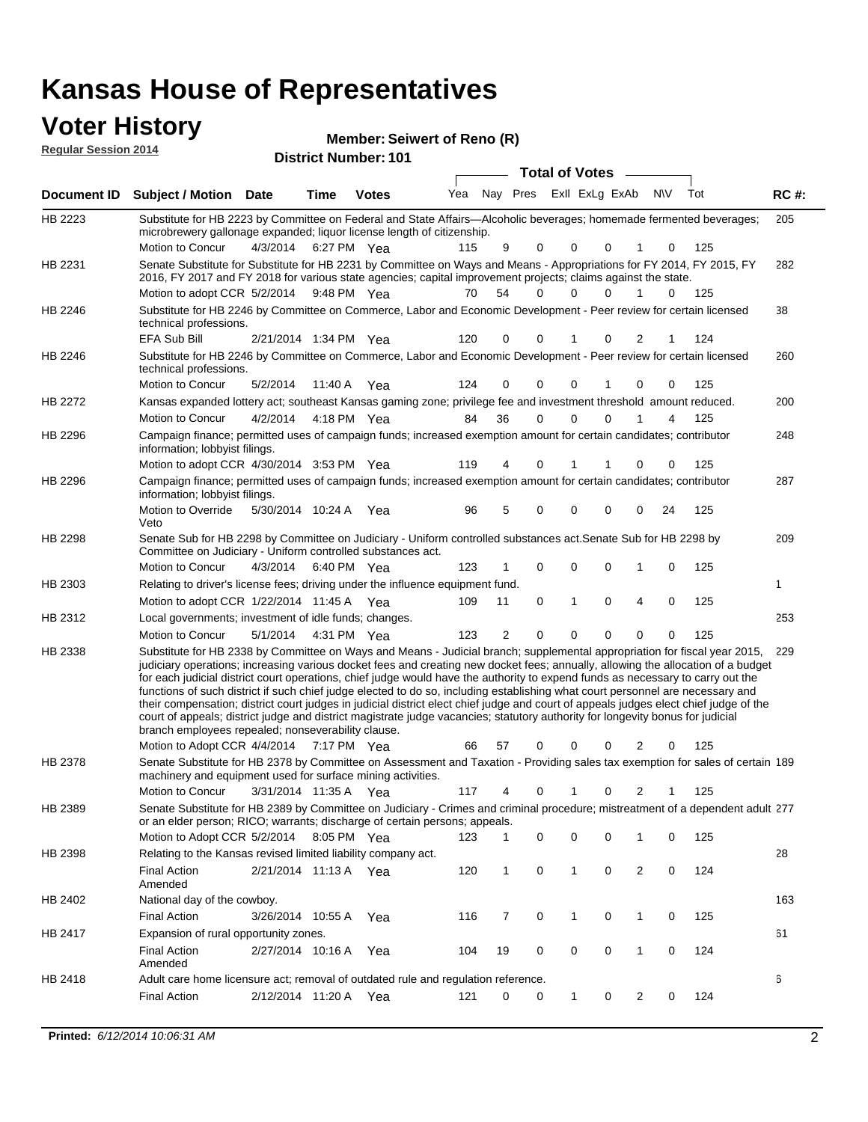#### **Voter History Regular Session 2014**

| noguiai ocoolori zu in |                                                                                                                                                                                                                                                                                                                                                                                                                                                                                                                                                                                                                                                                                                                                                                                                                                                                                                                 |                       |                   | <b>District Number: 101</b> |     |          |          |             |                       |                |           |     |             |
|------------------------|-----------------------------------------------------------------------------------------------------------------------------------------------------------------------------------------------------------------------------------------------------------------------------------------------------------------------------------------------------------------------------------------------------------------------------------------------------------------------------------------------------------------------------------------------------------------------------------------------------------------------------------------------------------------------------------------------------------------------------------------------------------------------------------------------------------------------------------------------------------------------------------------------------------------|-----------------------|-------------------|-----------------------------|-----|----------|----------|-------------|-----------------------|----------------|-----------|-----|-------------|
|                        |                                                                                                                                                                                                                                                                                                                                                                                                                                                                                                                                                                                                                                                                                                                                                                                                                                                                                                                 |                       |                   |                             |     |          |          |             | <b>Total of Votes</b> |                |           |     |             |
| <b>Document ID</b>     | <b>Subject / Motion Date</b>                                                                                                                                                                                                                                                                                                                                                                                                                                                                                                                                                                                                                                                                                                                                                                                                                                                                                    |                       | Time              | <b>Votes</b>                | Yea | Nay Pres |          |             | Exll ExLg ExAb        |                | <b>NV</b> | Tot | <b>RC#:</b> |
| HB 2223                | Substitute for HB 2223 by Committee on Federal and State Affairs—Alcoholic beverages; homemade fermented beverages;<br>microbrewery gallonage expanded; liquor license length of citizenship.                                                                                                                                                                                                                                                                                                                                                                                                                                                                                                                                                                                                                                                                                                                   |                       |                   |                             |     |          |          |             |                       |                |           |     | 205         |
|                        | Motion to Concur                                                                                                                                                                                                                                                                                                                                                                                                                                                                                                                                                                                                                                                                                                                                                                                                                                                                                                | 4/3/2014              |                   | 6:27 PM Yea                 | 115 | 9        | 0        | 0           | 0                     |                | 0         | 125 |             |
| HB 2231                | Senate Substitute for Substitute for HB 2231 by Committee on Ways and Means - Appropriations for FY 2014, FY 2015, FY<br>2016, FY 2017 and FY 2018 for various state agencies; capital improvement projects; claims against the state.                                                                                                                                                                                                                                                                                                                                                                                                                                                                                                                                                                                                                                                                          |                       |                   |                             |     |          |          |             |                       |                |           |     | 282         |
|                        | Motion to adopt CCR 5/2/2014                                                                                                                                                                                                                                                                                                                                                                                                                                                                                                                                                                                                                                                                                                                                                                                                                                                                                    |                       |                   | 9:48 PM Yea                 | 70  | 54       | 0        | 0           | 0                     | 1              | 0         | 125 |             |
| HB 2246                | Substitute for HB 2246 by Committee on Commerce, Labor and Economic Development - Peer review for certain licensed<br>technical professions.<br><b>EFA Sub Bill</b>                                                                                                                                                                                                                                                                                                                                                                                                                                                                                                                                                                                                                                                                                                                                             | 2/21/2014 1:34 PM Yea |                   |                             | 120 | 0        | 0        | 1           | 0                     | 2              | 1         | 124 | 38          |
| HB 2246                | Substitute for HB 2246 by Committee on Commerce, Labor and Economic Development - Peer review for certain licensed<br>technical professions.                                                                                                                                                                                                                                                                                                                                                                                                                                                                                                                                                                                                                                                                                                                                                                    |                       |                   |                             |     |          |          |             |                       |                |           |     | 260         |
|                        | Motion to Concur                                                                                                                                                                                                                                                                                                                                                                                                                                                                                                                                                                                                                                                                                                                                                                                                                                                                                                | 5/2/2014              |                   | 11:40 A Yea                 | 124 | 0        | 0        | 0           |                       | 0              | 0         | 125 |             |
| <b>HB 2272</b>         | Kansas expanded lottery act; southeast Kansas gaming zone; privilege fee and investment threshold amount reduced.                                                                                                                                                                                                                                                                                                                                                                                                                                                                                                                                                                                                                                                                                                                                                                                               |                       |                   |                             |     |          |          |             |                       |                |           |     | 200         |
|                        | <b>Motion to Concur</b>                                                                                                                                                                                                                                                                                                                                                                                                                                                                                                                                                                                                                                                                                                                                                                                                                                                                                         | 4/2/2014              |                   | 4:18 PM Yea                 | 84  | 36       | 0        | 0           | 0                     |                | 4         | 125 |             |
| HB 2296                | Campaign finance; permitted uses of campaign funds; increased exemption amount for certain candidates; contributor<br>information; lobbyist filings.                                                                                                                                                                                                                                                                                                                                                                                                                                                                                                                                                                                                                                                                                                                                                            |                       |                   |                             |     |          |          |             |                       |                |           |     | 248         |
|                        | Motion to adopt CCR 4/30/2014 3:53 PM Yea                                                                                                                                                                                                                                                                                                                                                                                                                                                                                                                                                                                                                                                                                                                                                                                                                                                                       |                       |                   |                             | 119 | 4        | 0        | 1           | 1                     | 0              | 0         | 125 |             |
| HB 2296                | Campaign finance; permitted uses of campaign funds; increased exemption amount for certain candidates; contributor<br>information; lobbyist filings.                                                                                                                                                                                                                                                                                                                                                                                                                                                                                                                                                                                                                                                                                                                                                            |                       |                   |                             |     |          |          |             |                       |                |           |     | 287         |
|                        | Motion to Override<br>Veto                                                                                                                                                                                                                                                                                                                                                                                                                                                                                                                                                                                                                                                                                                                                                                                                                                                                                      | 5/30/2014 10:24 A     |                   | Yea                         | 96  | 5        | 0        | 0           | 0                     | 0              | 24        | 125 |             |
| HB 2298                | Senate Sub for HB 2298 by Committee on Judiciary - Uniform controlled substances act. Senate Sub for HB 2298 by<br>Committee on Judiciary - Uniform controlled substances act.                                                                                                                                                                                                                                                                                                                                                                                                                                                                                                                                                                                                                                                                                                                                  |                       |                   |                             |     |          |          |             |                       |                |           |     | 209         |
|                        | Motion to Concur                                                                                                                                                                                                                                                                                                                                                                                                                                                                                                                                                                                                                                                                                                                                                                                                                                                                                                | 4/3/2014              |                   | 6:40 PM Yea                 | 123 | 1        | 0        | $\mathbf 0$ | 0                     | 1              | 0         | 125 |             |
| HB 2303                | Relating to driver's license fees; driving under the influence equipment fund.                                                                                                                                                                                                                                                                                                                                                                                                                                                                                                                                                                                                                                                                                                                                                                                                                                  |                       |                   |                             |     |          |          |             |                       |                |           |     | 1           |
|                        | Motion to adopt CCR 1/22/2014 11:45 A Yea                                                                                                                                                                                                                                                                                                                                                                                                                                                                                                                                                                                                                                                                                                                                                                                                                                                                       |                       |                   |                             | 109 | 11       | 0        | 1           | 0                     | $\overline{4}$ | 0         | 125 |             |
| HB 2312                | Local governments; investment of idle funds; changes.                                                                                                                                                                                                                                                                                                                                                                                                                                                                                                                                                                                                                                                                                                                                                                                                                                                           |                       |                   |                             |     |          |          |             |                       |                |           |     | 253         |
|                        | Motion to Concur                                                                                                                                                                                                                                                                                                                                                                                                                                                                                                                                                                                                                                                                                                                                                                                                                                                                                                | 5/1/2014              |                   | 4:31 PM Yea                 | 123 | 2        | $\Omega$ | 0           | 0                     | $\Omega$       | 0         | 125 |             |
| HB 2338                | Substitute for HB 2338 by Committee on Ways and Means - Judicial branch; supplemental appropriation for fiscal year 2015,<br>judiciary operations; increasing various docket fees and creating new docket fees; annually, allowing the allocation of a budget<br>for each judicial district court operations, chief judge would have the authority to expend funds as necessary to carry out the<br>functions of such district if such chief judge elected to do so, including establishing what court personnel are necessary and<br>their compensation; district court judges in judicial district elect chief judge and court of appeals judges elect chief judge of the<br>court of appeals; district judge and district magistrate judge vacancies; statutory authority for longevity bonus for judicial<br>branch employees repealed; nonseverability clause.<br>Motion to Adopt CCR 4/4/2014 7:17 PM Yea |                       |                   |                             | 66  | 57       | 0        | 0           | 0                     | 2              | 0         | 125 | 229         |
| HB 2378                | Senate Substitute for HB 2378 by Committee on Assessment and Taxation - Providing sales tax exemption for sales of certain 189<br>machinery and equipment used for surface mining activities.                                                                                                                                                                                                                                                                                                                                                                                                                                                                                                                                                                                                                                                                                                                   |                       |                   |                             |     |          |          |             |                       |                |           |     |             |
|                        | <b>Motion to Concur</b>                                                                                                                                                                                                                                                                                                                                                                                                                                                                                                                                                                                                                                                                                                                                                                                                                                                                                         |                       | 3/31/2014 11:35 A | Yea                         | 117 | 4        | 0        | 1           | 0                     | 2              |           | 125 |             |
| HB 2389                | Senate Substitute for HB 2389 by Committee on Judiciary - Crimes and criminal procedure; mistreatment of a dependent adult 277<br>or an elder person; RICO; warrants; discharge of certain persons; appeals.<br>Motion to Adopt CCR 5/2/2014 8:05 PM Yea                                                                                                                                                                                                                                                                                                                                                                                                                                                                                                                                                                                                                                                        |                       |                   |                             | 123 | 1        | 0        | 0           | 0                     | 1              | 0         | 125 |             |
| HB 2398                | Relating to the Kansas revised limited liability company act.                                                                                                                                                                                                                                                                                                                                                                                                                                                                                                                                                                                                                                                                                                                                                                                                                                                   |                       |                   |                             |     |          |          |             |                       |                |           |     | 28          |
|                        | <b>Final Action</b><br>Amended                                                                                                                                                                                                                                                                                                                                                                                                                                                                                                                                                                                                                                                                                                                                                                                                                                                                                  |                       |                   | 2/21/2014 11:13 A Yea       | 120 | 1        | 0        | 1           | 0                     | $\overline{c}$ | 0         | 124 |             |
| HB 2402                | National day of the cowboy.                                                                                                                                                                                                                                                                                                                                                                                                                                                                                                                                                                                                                                                                                                                                                                                                                                                                                     |                       |                   |                             |     |          |          |             |                       |                |           |     | 163         |
|                        | <b>Final Action</b>                                                                                                                                                                                                                                                                                                                                                                                                                                                                                                                                                                                                                                                                                                                                                                                                                                                                                             | 3/26/2014 10:55 A     |                   | Yea                         | 116 | 7        | 0        | 1           | 0                     | $\mathbf{1}$   | 0         | 125 |             |
| HB 2417                | Expansion of rural opportunity zones.                                                                                                                                                                                                                                                                                                                                                                                                                                                                                                                                                                                                                                                                                                                                                                                                                                                                           |                       |                   |                             |     |          |          |             |                       |                |           |     | 61          |
|                        | <b>Final Action</b><br>Amended                                                                                                                                                                                                                                                                                                                                                                                                                                                                                                                                                                                                                                                                                                                                                                                                                                                                                  |                       | 2/27/2014 10:16 A | Yea                         | 104 | 19       | 0        | 0           | 0                     | $\mathbf{1}$   | 0         | 124 |             |
| HB 2418                | Adult care home licensure act; removal of outdated rule and regulation reference.                                                                                                                                                                                                                                                                                                                                                                                                                                                                                                                                                                                                                                                                                                                                                                                                                               |                       |                   |                             |     |          |          |             |                       |                |           |     | 6           |
|                        | <b>Final Action</b>                                                                                                                                                                                                                                                                                                                                                                                                                                                                                                                                                                                                                                                                                                                                                                                                                                                                                             | 2/12/2014 11:20 A     |                   | Yea                         | 121 | 0        | 0        | 1           | 0                     | 2              | 0         | 124 |             |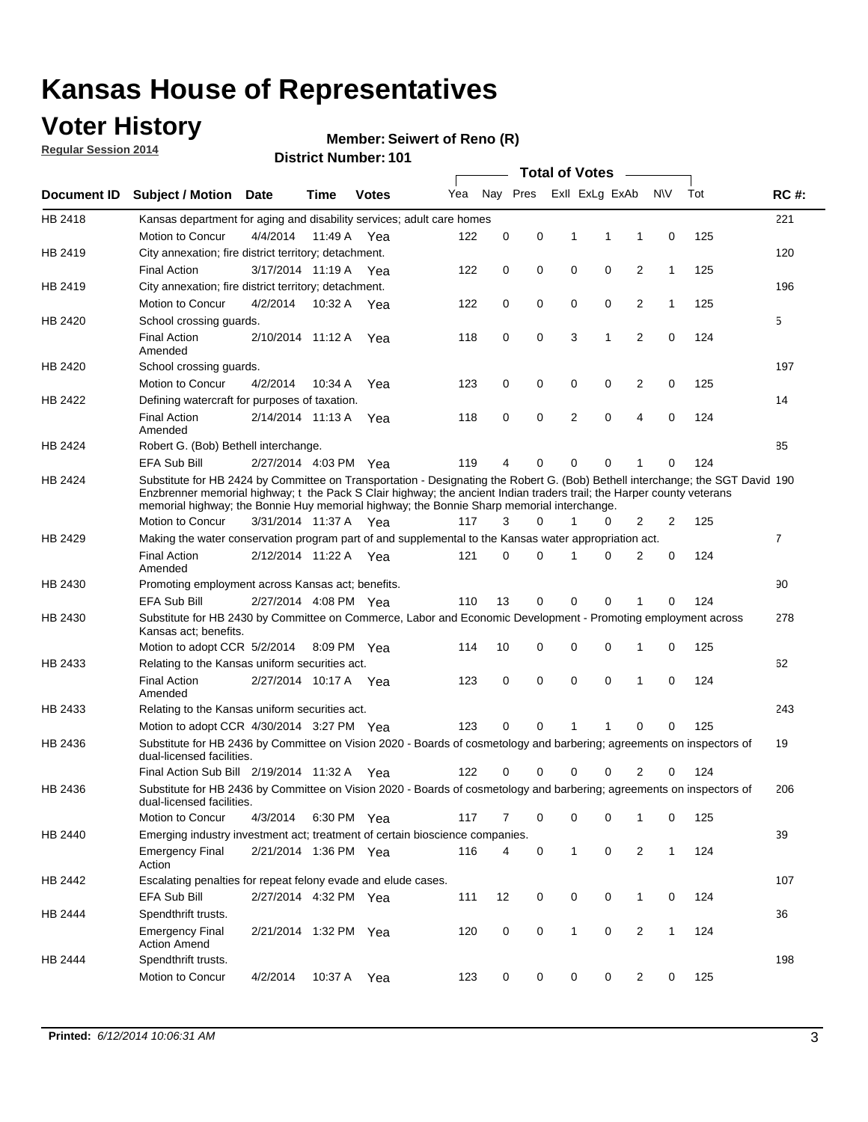### **Voter History**

**Regular Session 2014**

#### **Member: Seiwert of Reno (R)**

|             | ו טו הסעוווטנו שווטוש<br><b>Total of Votes</b><br>$\sim$                                                                                                                                                                                                                                                                                             |                       |         |              |     |             |   |              |                         |                |              |     |                |
|-------------|------------------------------------------------------------------------------------------------------------------------------------------------------------------------------------------------------------------------------------------------------------------------------------------------------------------------------------------------------|-----------------------|---------|--------------|-----|-------------|---|--------------|-------------------------|----------------|--------------|-----|----------------|
| Document ID | <b>Subject / Motion Date</b>                                                                                                                                                                                                                                                                                                                         |                       | Time    | <b>Votes</b> | Yea |             |   |              | Nay Pres ExII ExLg ExAb |                | <b>NV</b>    | Tot | <b>RC#:</b>    |
| HB 2418     | Kansas department for aging and disability services; adult care homes                                                                                                                                                                                                                                                                                |                       |         |              |     |             |   |              |                         |                |              |     | 221            |
|             | Motion to Concur                                                                                                                                                                                                                                                                                                                                     | 4/4/2014              | 11:49 A | Yea          | 122 | 0           | 0 | 1            | 1                       | 1              | 0            | 125 |                |
| HB 2419     | City annexation; fire district territory; detachment.                                                                                                                                                                                                                                                                                                |                       |         |              |     |             |   |              |                         |                |              |     | 120            |
|             | <b>Final Action</b>                                                                                                                                                                                                                                                                                                                                  | 3/17/2014 11:19 A Yea |         |              | 122 | 0           | 0 | $\mathbf 0$  | 0                       | $\overline{2}$ | $\mathbf{1}$ | 125 |                |
| HB 2419     | City annexation; fire district territory; detachment.                                                                                                                                                                                                                                                                                                |                       |         |              |     |             |   |              |                         |                |              |     | 196            |
|             | Motion to Concur                                                                                                                                                                                                                                                                                                                                     | 4/2/2014              |         | 10:32 A Yea  | 122 | 0           | 0 | 0            | 0                       | 2              | $\mathbf{1}$ | 125 |                |
| HB 2420     | School crossing guards.                                                                                                                                                                                                                                                                                                                              |                       |         |              |     |             |   |              |                         |                |              |     | 5              |
|             | <b>Final Action</b><br>Amended                                                                                                                                                                                                                                                                                                                       | 2/10/2014 11:12 A     |         | Yea          | 118 | 0           | 0 | 3            | 1                       | 2              | 0            | 124 |                |
| HB 2420     | School crossing guards.                                                                                                                                                                                                                                                                                                                              |                       |         |              |     |             |   |              |                         |                |              |     | 197            |
|             | Motion to Concur                                                                                                                                                                                                                                                                                                                                     | 4/2/2014              | 10:34 A | Yea          | 123 | 0           | 0 | 0            | 0                       | 2              | 0            | 125 |                |
| HB 2422     | Defining watercraft for purposes of taxation.                                                                                                                                                                                                                                                                                                        |                       |         |              |     |             |   |              |                         |                |              |     | 14             |
|             | <b>Final Action</b><br>Amended                                                                                                                                                                                                                                                                                                                       | 2/14/2014 11:13 A     |         | Yea          | 118 | 0           | 0 | 2            | 0                       | 4              | $\mathbf 0$  | 124 |                |
| HB 2424     | Robert G. (Bob) Bethell interchange.                                                                                                                                                                                                                                                                                                                 |                       |         |              |     |             |   |              |                         |                |              |     | 85             |
|             | <b>EFA Sub Bill</b>                                                                                                                                                                                                                                                                                                                                  | 2/27/2014 4:03 PM Yea |         |              | 119 | 4           | 0 | 0            | 0                       | 1              | 0            | 124 |                |
| HB 2424     | Substitute for HB 2424 by Committee on Transportation - Designating the Robert G. (Bob) Bethell interchange; the SGT David 190<br>Enzbrenner memorial highway; t the Pack S Clair highway; the ancient Indian traders trail; the Harper county veterans<br>memorial highway; the Bonnie Huy memorial highway; the Bonnie Sharp memorial interchange. |                       |         |              |     |             |   |              |                         |                |              |     |                |
|             | Motion to Concur                                                                                                                                                                                                                                                                                                                                     | 3/31/2014 11:37 A     |         | Yea          | 117 | 3           | 0 | 1            | 0                       | 2              | 2            | 125 |                |
| HB 2429     | Making the water conservation program part of and supplemental to the Kansas water appropriation act.                                                                                                                                                                                                                                                |                       |         |              |     |             |   |              |                         |                |              |     | $\overline{7}$ |
|             | <b>Final Action</b><br>Amended                                                                                                                                                                                                                                                                                                                       | 2/12/2014 11:22 A     |         | Yea          | 121 | $\mathbf 0$ | 0 | 1            | 0                       | $\overline{2}$ | 0            | 124 |                |
| HB 2430     | Promoting employment across Kansas act; benefits.                                                                                                                                                                                                                                                                                                    |                       |         |              |     |             |   |              |                         |                |              |     | 90             |
|             | EFA Sub Bill                                                                                                                                                                                                                                                                                                                                         | 2/27/2014 4:08 PM Yea |         |              | 110 | 13          | 0 | 0            | 0                       | 1              | 0            | 124 |                |
| HB 2430     | Substitute for HB 2430 by Committee on Commerce, Labor and Economic Development - Promoting employment across<br>Kansas act; benefits.                                                                                                                                                                                                               |                       |         |              |     |             |   |              |                         |                |              |     | 278            |
|             | Motion to adopt CCR 5/2/2014 8:09 PM Yea                                                                                                                                                                                                                                                                                                             |                       |         |              | 114 | 10          | 0 | 0            | 0                       | 1              | $\mathbf 0$  | 125 |                |
| HB 2433     | Relating to the Kansas uniform securities act.                                                                                                                                                                                                                                                                                                       |                       |         |              |     |             |   |              |                         |                |              |     | 62             |
|             | <b>Final Action</b><br>Amended                                                                                                                                                                                                                                                                                                                       | 2/27/2014 10:17 A Yea |         |              | 123 | 0           | 0 | $\mathbf 0$  | $\mathbf 0$             | 1              | $\mathbf 0$  | 124 |                |
| HB 2433     | Relating to the Kansas uniform securities act.                                                                                                                                                                                                                                                                                                       |                       |         |              |     |             |   |              |                         |                |              |     | 243            |
|             | Motion to adopt CCR 4/30/2014 3:27 PM Yea                                                                                                                                                                                                                                                                                                            |                       |         |              | 123 | 0           | 0 | 1            | 1                       | 0              | 0            | 125 |                |
| HB 2436     | Substitute for HB 2436 by Committee on Vision 2020 - Boards of cosmetology and barbering; agreements on inspectors of<br>dual-licensed facilities.                                                                                                                                                                                                   |                       |         |              |     |             |   |              |                         |                |              |     | 19             |
|             | Final Action Sub Bill 2/19/2014 11:32 A                                                                                                                                                                                                                                                                                                              |                       |         | Yea          | 122 | 0           | 0 | 0            | 0                       | 2              | 0            | 124 |                |
| HB 2436     | Substitute for HB 2436 by Committee on Vision 2020 - Boards of cosmetology and barbering; agreements on inspectors of<br>dual-licensed facilities.                                                                                                                                                                                                   |                       |         |              |     |             |   |              |                         |                |              |     | 206            |
|             | Motion to Concur                                                                                                                                                                                                                                                                                                                                     | 4/3/2014              |         | 6:30 PM Yea  | 117 | 7           | 0 | 0            | 0                       | 1              | 0            | 125 |                |
| HB 2440     | Emerging industry investment act; treatment of certain bioscience companies.                                                                                                                                                                                                                                                                         |                       |         |              |     |             |   |              |                         |                |              |     | 39             |
|             | <b>Emergency Final</b><br>Action                                                                                                                                                                                                                                                                                                                     | 2/21/2014 1:36 PM Yea |         |              | 116 | 4           | 0 | $\mathbf{1}$ | 0                       | $\overline{2}$ | $\mathbf{1}$ | 124 |                |
| HB 2442     | Escalating penalties for repeat felony evade and elude cases.                                                                                                                                                                                                                                                                                        |                       |         |              |     |             |   |              |                         |                |              |     | 107            |
|             | EFA Sub Bill                                                                                                                                                                                                                                                                                                                                         | 2/27/2014 4:32 PM Yea |         |              | 111 | 12          | 0 | 0            | 0                       | $\mathbf{1}$   | 0            | 124 |                |
| HB 2444     | Spendthrift trusts.                                                                                                                                                                                                                                                                                                                                  |                       |         |              |     |             |   |              |                         |                |              |     | 36             |
|             | <b>Emergency Final</b><br><b>Action Amend</b>                                                                                                                                                                                                                                                                                                        | 2/21/2014 1:32 PM Yea |         |              | 120 | 0           | 0 | 1            | 0                       | $\overline{2}$ | 1            | 124 |                |
| HB 2444     | Spendthrift trusts.                                                                                                                                                                                                                                                                                                                                  |                       |         |              |     |             |   |              |                         |                |              |     | 198            |
|             | Motion to Concur                                                                                                                                                                                                                                                                                                                                     | 4/2/2014              | 10:37 A | Yea          | 123 | 0           | 0 | 0            | 0                       | $\overline{2}$ | 0            | 125 |                |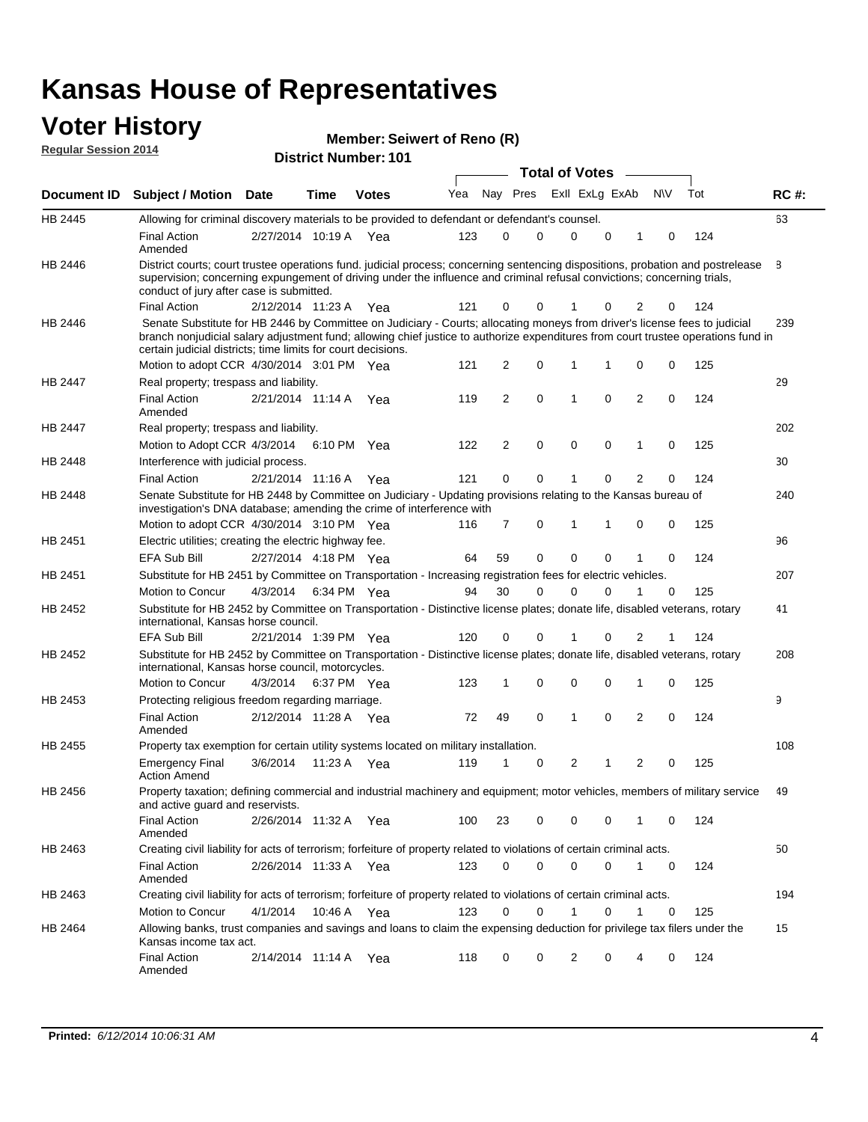#### **Voter History Regular Session 2014**

**Member: Seiwert of Reno (R)** 

|         |                                                                                                                                                                                                                                                                                                                                 |                       |      |              |     |    |             | <b>Total of Votes</b> |             |                |             |     |             |
|---------|---------------------------------------------------------------------------------------------------------------------------------------------------------------------------------------------------------------------------------------------------------------------------------------------------------------------------------|-----------------------|------|--------------|-----|----|-------------|-----------------------|-------------|----------------|-------------|-----|-------------|
|         | Document ID Subject / Motion Date                                                                                                                                                                                                                                                                                               |                       | Time | <b>Votes</b> | Yea |    | Nay Pres    | Exll ExLg ExAb        |             |                | N\V         | Tot | <b>RC#:</b> |
| HB 2445 | Allowing for criminal discovery materials to be provided to defendant or defendant's counsel.                                                                                                                                                                                                                                   |                       |      |              |     |    |             |                       |             |                |             |     | 63          |
|         | <b>Final Action</b><br>Amended                                                                                                                                                                                                                                                                                                  | 2/27/2014 10:19 A Yea |      |              | 123 | 0  | 0           | 0                     | 0           | 1              | 0           | 124 |             |
| HB 2446 | District courts; court trustee operations fund. judicial process; concerning sentencing dispositions, probation and postrelease<br>supervision; concerning expungement of driving under the influence and criminal refusal convictions; concerning trials,<br>conduct of jury after case is submitted.                          |                       |      |              |     |    |             |                       |             |                |             |     | 8           |
|         | <b>Final Action</b>                                                                                                                                                                                                                                                                                                             | 2/12/2014 11:23 A Yea |      |              | 121 | 0  | 0           |                       | 0           | 2              | 0           | 124 |             |
| HB 2446 | Senate Substitute for HB 2446 by Committee on Judiciary - Courts; allocating moneys from driver's license fees to judicial<br>branch nonjudicial salary adjustment fund; allowing chief justice to authorize expenditures from court trustee operations fund in<br>certain judicial districts; time limits for court decisions. |                       |      |              |     |    |             |                       |             |                |             |     | 239         |
|         | Motion to adopt CCR 4/30/2014 3:01 PM Yea                                                                                                                                                                                                                                                                                       |                       |      |              | 121 | 2  | 0           | $\mathbf 1$           |             | 0              | 0           | 125 |             |
| HB 2447 | Real property; trespass and liability.                                                                                                                                                                                                                                                                                          |                       |      |              |     |    |             |                       |             |                |             |     | 29          |
|         | <b>Final Action</b><br>Amended                                                                                                                                                                                                                                                                                                  | 2/21/2014 11:14 A Yea |      |              | 119 | 2  | $\mathbf 0$ | $\overline{1}$        | $\mathbf 0$ | 2              | 0           | 124 |             |
| HB 2447 | Real property; trespass and liability.                                                                                                                                                                                                                                                                                          |                       |      |              |     |    |             |                       |             |                |             |     | 202         |
|         | Motion to Adopt CCR 4/3/2014                                                                                                                                                                                                                                                                                                    |                       |      | 6:10 PM Yea  | 122 | 2  | 0           | $\mathbf 0$           | 0           | 1              | 0           | 125 |             |
| HB 2448 | Interference with judicial process.                                                                                                                                                                                                                                                                                             |                       |      |              |     |    |             |                       |             |                |             |     | 30          |
|         | <b>Final Action</b>                                                                                                                                                                                                                                                                                                             | 2/21/2014 11:16 A Yea |      |              | 121 | 0  | 0           | 1                     | 0           | $\overline{2}$ | 0           | 124 |             |
| HB 2448 | Senate Substitute for HB 2448 by Committee on Judiciary - Updating provisions relating to the Kansas bureau of<br>investigation's DNA database; amending the crime of interference with                                                                                                                                         |                       |      |              |     |    |             |                       |             |                |             |     | 240         |
|         | Motion to adopt CCR 4/30/2014 3:10 PM Yea                                                                                                                                                                                                                                                                                       |                       |      |              | 116 | 7  | 0           | 1                     | 1           | 0              | 0           | 125 |             |
| HB 2451 | Electric utilities; creating the electric highway fee.                                                                                                                                                                                                                                                                          |                       |      |              |     |    |             |                       |             |                |             |     | 96          |
|         | <b>EFA Sub Bill</b>                                                                                                                                                                                                                                                                                                             | 2/27/2014 4:18 PM Yea |      |              | 64  | 59 | 0           | $\mathbf 0$           | 0           | 1              | 0           | 124 |             |
| HB 2451 | Substitute for HB 2451 by Committee on Transportation - Increasing registration fees for electric vehicles.                                                                                                                                                                                                                     |                       |      |              |     |    |             |                       |             |                |             |     | 207         |
|         | Motion to Concur                                                                                                                                                                                                                                                                                                                | 4/3/2014              |      | 6:34 PM Yea  | 94  | 30 | 0           | $\Omega$              | 0           |                | 0           | 125 |             |
| HB 2452 | Substitute for HB 2452 by Committee on Transportation - Distinctive license plates; donate life, disabled veterans, rotary<br>international, Kansas horse council.                                                                                                                                                              |                       |      |              |     |    |             |                       |             |                |             |     | 41          |
|         | <b>EFA Sub Bill</b>                                                                                                                                                                                                                                                                                                             | 2/21/2014 1:39 PM Yea |      |              | 120 | 0  | 0           |                       | 0           | 2              | 1           | 124 |             |
| HB 2452 | Substitute for HB 2452 by Committee on Transportation - Distinctive license plates; donate life, disabled veterans, rotary<br>international, Kansas horse council, motorcycles.                                                                                                                                                 |                       |      |              |     |    |             |                       |             |                |             |     | 208         |
|         | Motion to Concur                                                                                                                                                                                                                                                                                                                | 4/3/2014              |      | 6:37 PM Yea  | 123 | 1  | 0           | $\mathbf 0$           | 0           | 1              | 0           | 125 |             |
| HB 2453 | Protecting religious freedom regarding marriage.                                                                                                                                                                                                                                                                                |                       |      |              |     |    |             |                       |             |                |             |     | 9           |
|         | <b>Final Action</b><br>Amended                                                                                                                                                                                                                                                                                                  | 2/12/2014 11:28 A Yea |      |              | 72  | 49 | 0           | 1                     | $\Omega$    | $\overline{2}$ | 0           | 124 |             |
| HB 2455 | Property tax exemption for certain utility systems located on military installation.                                                                                                                                                                                                                                            |                       |      |              |     |    |             |                       |             |                |             |     | 108         |
|         | <b>Emergency Final</b><br><b>Action Amend</b>                                                                                                                                                                                                                                                                                   | 3/6/2014              |      | 11:23 A Yea  | 119 | 1  | 0           | 2                     | 1           | 2              | 0           | 125 |             |
| HB 2456 | Property taxation; defining commercial and industrial machinery and equipment; motor vehicles, members of military service<br>and active guard and reservists.                                                                                                                                                                  |                       |      |              |     |    |             |                       |             |                |             |     | 49          |
|         | <b>Final Action</b><br>Amended                                                                                                                                                                                                                                                                                                  | 2/26/2014 11:32 A Yea |      |              | 100 | 23 | 0           | 0                     | 0           | 1              | 0           | 124 |             |
| HB 2463 | Creating civil liability for acts of terrorism; forfeiture of property related to violations of certain criminal acts.                                                                                                                                                                                                          |                       |      |              |     |    |             |                       |             |                |             |     | 50          |
|         | <b>Final Action</b><br>Amended                                                                                                                                                                                                                                                                                                  | 2/26/2014 11:33 A Yea |      |              | 123 | 0  | 0           | 0                     | 0           | $\mathbf{1}$   | $\mathbf 0$ | 124 |             |
| HB 2463 | Creating civil liability for acts of terrorism; forfeiture of property related to violations of certain criminal acts.                                                                                                                                                                                                          |                       |      |              |     |    |             |                       |             |                |             |     | 194         |
|         | Motion to Concur                                                                                                                                                                                                                                                                                                                | 4/1/2014              |      | 10:46 A Yea  | 123 | 0  | 0           | 1                     | 0           | 1              | 0           | 125 |             |
| HB 2464 | Allowing banks, trust companies and savings and loans to claim the expensing deduction for privilege tax filers under the<br>Kansas income tax act.                                                                                                                                                                             |                       |      |              |     |    |             |                       |             |                |             |     | 15          |
|         | <b>Final Action</b><br>Amended                                                                                                                                                                                                                                                                                                  | 2/14/2014 11:14 A Yea |      |              | 118 | 0  | 0           | 2                     | 0           | 4              | 0           | 124 |             |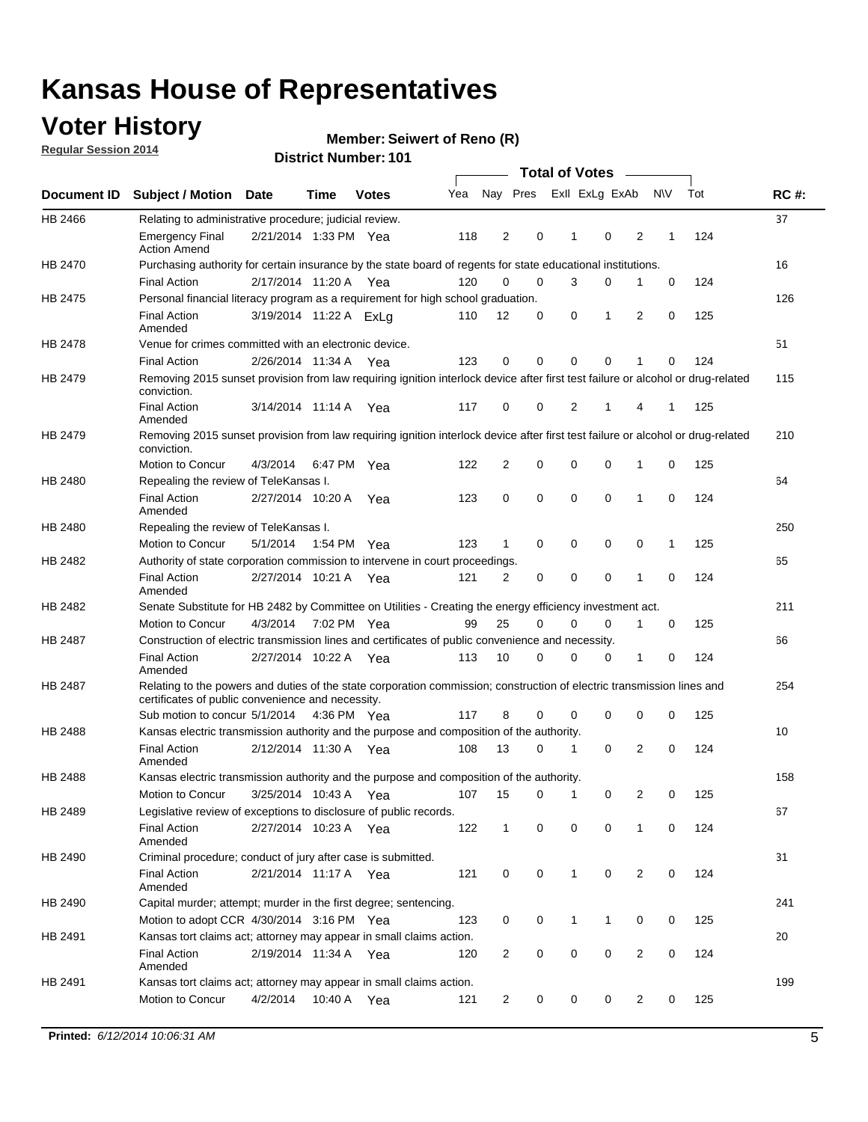### **Voter History**

**Regular Session 2014**

#### **Member: Seiwert of Reno (R)**

|                                                                                                                       |                                                                                                                                                                             |                        |      |              |     |                |             | <b>Total of Votes</b> |             |                |             |     |             |
|-----------------------------------------------------------------------------------------------------------------------|-----------------------------------------------------------------------------------------------------------------------------------------------------------------------------|------------------------|------|--------------|-----|----------------|-------------|-----------------------|-------------|----------------|-------------|-----|-------------|
|                                                                                                                       | Document ID Subject / Motion Date                                                                                                                                           |                        | Time | <b>Votes</b> | Yea |                | Nay Pres    | Exll ExLg ExAb        |             |                | N\V         | Tot | <b>RC#:</b> |
| HB 2466                                                                                                               | Relating to administrative procedure; judicial review.                                                                                                                      |                        |      |              |     |                |             |                       |             |                |             |     | 37          |
|                                                                                                                       | <b>Emergency Final</b><br><b>Action Amend</b>                                                                                                                               | 2/21/2014 1:33 PM Yea  |      |              | 118 | 2              | 0           | 1                     | 0           | 2              | 1           | 124 |             |
| HB 2470<br>HB 2475<br>HB 2478<br>HB 2479<br>HB 2479<br>HB 2480<br>HB 2480<br>HB 2482<br>HB 2482<br>HB 2487<br>HB 2487 | Purchasing authority for certain insurance by the state board of regents for state educational institutions.                                                                |                        |      |              |     |                |             |                       |             |                |             |     | 16          |
|                                                                                                                       | <b>Final Action</b>                                                                                                                                                         | 2/17/2014 11:20 A Yea  |      |              | 120 | 0              | 0           | 3                     | $\mathbf 0$ | 1              | 0           | 124 |             |
|                                                                                                                       | Personal financial literacy program as a requirement for high school graduation.                                                                                            |                        |      |              |     |                |             |                       |             |                |             |     | 126         |
|                                                                                                                       | <b>Final Action</b><br>Amended                                                                                                                                              | 3/19/2014 11:22 A ExLg |      |              | 110 | 12             | 0           | 0                     | 1           | 2              | 0           | 125 |             |
|                                                                                                                       | Venue for crimes committed with an electronic device.                                                                                                                       |                        |      |              |     |                |             |                       |             |                |             |     | 51          |
|                                                                                                                       | <b>Final Action</b>                                                                                                                                                         | 2/26/2014 11:34 A      |      | Yea          | 123 | 0              | 0           | $\Omega$              | $\mathbf 0$ | 1              | 0           | 124 |             |
|                                                                                                                       | Removing 2015 sunset provision from law requiring ignition interlock device after first test failure or alcohol or drug-related<br>conviction.                              |                        |      |              |     |                |             |                       |             |                |             |     | 115         |
|                                                                                                                       | <b>Final Action</b><br>Amended                                                                                                                                              | 3/14/2014 11:14 A      |      | Yea          | 117 | 0              | 0           | 2                     | 1           | 4              | 1           | 125 |             |
|                                                                                                                       | Removing 2015 sunset provision from law requiring ignition interlock device after first test failure or alcohol or drug-related<br>conviction.                              |                        |      |              |     |                |             |                       |             |                |             |     | 210         |
|                                                                                                                       | Motion to Concur                                                                                                                                                            | 4/3/2014               |      | 6:47 PM Yea  | 122 | $\overline{2}$ | 0           | 0                     | $\mathbf 0$ | 1              | 0           | 125 |             |
|                                                                                                                       | Repealing the review of TeleKansas I.                                                                                                                                       |                        |      |              |     |                |             |                       |             |                |             |     | 64          |
|                                                                                                                       | <b>Final Action</b><br>Amended                                                                                                                                              | 2/27/2014 10:20 A      |      | Yea          | 123 | 0              | 0           | $\mathbf 0$           | $\mathbf 0$ | 1              | 0           | 124 |             |
|                                                                                                                       | Repealing the review of TeleKansas I.                                                                                                                                       |                        |      |              |     |                |             |                       |             |                |             |     | 250         |
|                                                                                                                       | Motion to Concur                                                                                                                                                            | 5/1/2014               |      | 1:54 PM Yea  | 123 | 1              | 0           | 0                     | 0           | 0              | 1           | 125 |             |
|                                                                                                                       | Authority of state corporation commission to intervene in court proceedings.                                                                                                |                        |      |              |     |                |             |                       |             |                |             |     | 65          |
|                                                                                                                       | <b>Final Action</b><br>Amended                                                                                                                                              | 2/27/2014 10:21 A      |      | Yea          | 121 | 2              | 0           | 0                     | 0           | 1              | 0           | 124 |             |
|                                                                                                                       | Senate Substitute for HB 2482 by Committee on Utilities - Creating the energy efficiency investment act.                                                                    |                        |      |              |     |                |             |                       |             |                |             |     | 211         |
|                                                                                                                       | Motion to Concur                                                                                                                                                            | 4/3/2014 7:02 PM Yea   |      |              | 99  | 25             | 0           | 0                     | $\mathbf 0$ | 1              | 0           | 125 |             |
|                                                                                                                       | Construction of electric transmission lines and certificates of public convenience and necessity.                                                                           |                        |      |              |     |                |             |                       |             |                |             |     | 66          |
|                                                                                                                       | <b>Final Action</b><br>Amended                                                                                                                                              | 2/27/2014 10:22 A Yea  |      |              | 113 | 10             | 0           | 0                     | 0           | 1              | 0           | 124 |             |
|                                                                                                                       | Relating to the powers and duties of the state corporation commission; construction of electric transmission lines and<br>certificates of public convenience and necessity. |                        |      |              |     |                |             |                       |             |                |             |     | 254         |
|                                                                                                                       | Sub motion to concur 5/1/2014                                                                                                                                               |                        |      | 4:36 PM Yea  | 117 | 8              | 0           | 0                     | 0           | 0              | 0           | 125 |             |
| <b>HB 2488</b>                                                                                                        | Kansas electric transmission authority and the purpose and composition of the authority.                                                                                    |                        |      |              |     |                |             |                       |             |                |             |     | 10          |
|                                                                                                                       | <b>Final Action</b><br>Amended                                                                                                                                              | 2/12/2014 11:30 A      |      | Yea          | 108 | 13             | 0           | 1                     | 0           | 2              | 0           | 124 |             |
| HB 2488                                                                                                               | Kansas electric transmission authority and the purpose and composition of the authority.                                                                                    |                        |      |              |     |                |             |                       |             |                |             |     | 158         |
|                                                                                                                       | Motion to Concur                                                                                                                                                            | 3/25/2014 10:43 A      |      | Yea          | 107 | 15             | 0           | 1                     | 0           | 2              | 0           | 125 |             |
| HB 2489                                                                                                               | Legislative review of exceptions to disclosure of public records.                                                                                                           |                        |      |              |     |                |             |                       |             |                |             |     | 67          |
|                                                                                                                       | <b>Final Action</b><br>Amended                                                                                                                                              | 2/27/2014 10:23 A Yea  |      |              | 122 | $\mathbf 1$    | 0           | 0                     | 0           | 1              | 0           | 124 |             |
| HB 2490                                                                                                               | Criminal procedure; conduct of jury after case is submitted.                                                                                                                |                        |      |              |     |                |             |                       |             |                |             |     | 31          |
|                                                                                                                       | <b>Final Action</b><br>Amended                                                                                                                                              | 2/21/2014 11:17 A Yea  |      |              | 121 | 0              | 0           | $\mathbf{1}$          | 0           | 2              | $\mathbf 0$ | 124 |             |
| HB 2490                                                                                                               | Capital murder; attempt; murder in the first degree; sentencing.                                                                                                            |                        |      |              |     |                |             |                       |             |                |             |     | 241         |
|                                                                                                                       | Motion to adopt CCR 4/30/2014 3:16 PM Yea                                                                                                                                   |                        |      |              | 123 | 0              | 0           | $\mathbf{1}$          | 1           | 0              | 0           | 125 |             |
| HB 2491                                                                                                               | Kansas tort claims act; attorney may appear in small claims action.                                                                                                         |                        |      |              |     |                |             |                       |             |                |             |     | 20          |
|                                                                                                                       | <b>Final Action</b><br>Amended                                                                                                                                              | 2/19/2014 11:34 A Yea  |      |              | 120 | $\overline{2}$ | 0           | 0                     | 0           | $\overline{2}$ | 0           | 124 |             |
| HB 2491                                                                                                               | Kansas tort claims act; attorney may appear in small claims action.                                                                                                         |                        |      |              |     |                |             |                       |             |                |             |     | 199         |
|                                                                                                                       | Motion to Concur                                                                                                                                                            | 4/2/2014               |      | 10:40 A Yea  | 121 | 2              | $\mathbf 0$ | 0                     | 0           | 2              | 0           | 125 |             |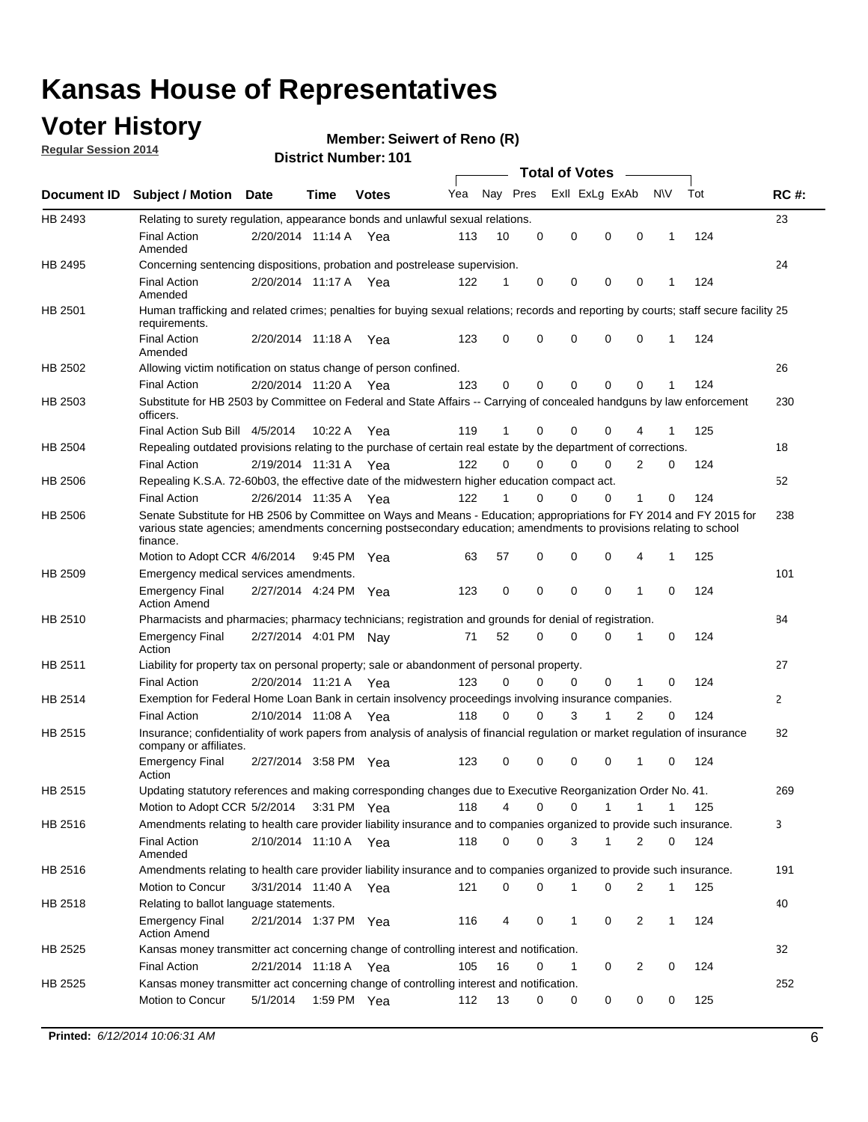### **Voter History**

**Regular Session 2014**

#### **Member: Seiwert of Reno (R)**

|             | <b>DISTRICT MAILINGL. TO L</b><br>Total of Votes –                                                                                                                                                                                                     |                       |             |              |     |             |          |  |             |                |                |          |     |             |
|-------------|--------------------------------------------------------------------------------------------------------------------------------------------------------------------------------------------------------------------------------------------------------|-----------------------|-------------|--------------|-----|-------------|----------|--|-------------|----------------|----------------|----------|-----|-------------|
| Document ID | <b>Subject / Motion Date</b>                                                                                                                                                                                                                           |                       | <b>Time</b> | <b>Votes</b> | Yea |             | Nay Pres |  |             | Exll ExLg ExAb | N\V            |          | Tot | <b>RC#:</b> |
| HB 2493     | Relating to surety regulation, appearance bonds and unlawful sexual relations.                                                                                                                                                                         |                       |             |              |     |             |          |  |             |                |                |          |     | 23          |
|             | <b>Final Action</b><br>Amended                                                                                                                                                                                                                         | 2/20/2014 11:14 A Yea |             |              | 113 | 10          | 0        |  | $\mathbf 0$ | $\mathbf 0$    | $\mathbf 0$    | 1        | 124 |             |
| HB 2495     | Concerning sentencing dispositions, probation and postrelease supervision.                                                                                                                                                                             |                       |             |              |     |             |          |  |             |                |                |          |     | 24          |
|             | <b>Final Action</b><br>Amended                                                                                                                                                                                                                         | 2/20/2014 11:17 A     |             | Yea          | 122 | 1           | 0        |  | 0           | 0              | $\mathbf 0$    | 1        | 124 |             |
| HB 2501     | Human trafficking and related crimes; penalties for buying sexual relations; records and reporting by courts; staff secure facility 25<br>requirements.                                                                                                |                       |             |              |     |             |          |  |             |                |                |          |     |             |
|             | <b>Final Action</b><br>Amended                                                                                                                                                                                                                         | 2/20/2014 11:18 A Yea |             |              | 123 | 0           | 0        |  | 0           | $\Omega$       | $\Omega$       | 1        | 124 |             |
| HB 2502     | Allowing victim notification on status change of person confined.                                                                                                                                                                                      |                       |             |              |     |             |          |  |             |                |                |          |     | 26          |
|             | <b>Final Action</b>                                                                                                                                                                                                                                    | 2/20/2014 11:20 A Yea |             |              | 123 | $\Omega$    | 0        |  | 0           | 0              | 0              |          | 124 |             |
| HB 2503     | Substitute for HB 2503 by Committee on Federal and State Affairs -- Carrying of concealed handguns by law enforcement<br>officers.                                                                                                                     |                       |             |              |     |             |          |  |             |                |                |          |     | 230         |
|             | Final Action Sub Bill 4/5/2014                                                                                                                                                                                                                         |                       | 10:22A      | Yea          | 119 | 1           | 0        |  | 0           | $\Omega$       |                |          | 125 |             |
| HB 2504     | Repealing outdated provisions relating to the purchase of certain real estate by the department of corrections.                                                                                                                                        |                       |             |              |     |             |          |  |             |                |                |          |     | 18          |
|             | <b>Final Action</b>                                                                                                                                                                                                                                    | 2/19/2014 11:31 A     |             | Yea          | 122 | $\Omega$    | $\Omega$ |  | $\Omega$    | 0              | 2              | 0        | 124 |             |
| HB 2506     | Repealing K.S.A. 72-60b03, the effective date of the midwestern higher education compact act.                                                                                                                                                          |                       |             |              |     |             |          |  |             |                |                |          |     | 52          |
|             | <b>Final Action</b>                                                                                                                                                                                                                                    | 2/26/2014 11:35 A Yea |             |              | 122 | 1           | 0        |  | $\mathbf 0$ | 0              | 1              | 0        | 124 |             |
| HB 2506     | Senate Substitute for HB 2506 by Committee on Ways and Means - Education; appropriations for FY 2014 and FY 2015 for<br>various state agencies; amendments concerning postsecondary education; amendments to provisions relating to school<br>finance. |                       |             |              |     |             |          |  |             |                |                |          |     | 238         |
|             | Motion to Adopt CCR 4/6/2014                                                                                                                                                                                                                           |                       | 9:45 PM Yea |              | 63  | 57          | 0        |  | 0           | 0              | 4              | 1        | 125 |             |
| HB 2509     | Emergency medical services amendments.                                                                                                                                                                                                                 |                       |             |              |     |             |          |  |             |                |                |          |     | 101         |
|             | <b>Emergency Final</b><br><b>Action Amend</b>                                                                                                                                                                                                          | 2/27/2014 4:24 PM Yea |             |              | 123 | $\mathbf 0$ | $\Omega$ |  | $\Omega$    | $\Omega$       | 1              | $\Omega$ | 124 |             |
| HB 2510     | Pharmacists and pharmacies; pharmacy technicians; registration and grounds for denial of registration.                                                                                                                                                 |                       |             |              |     |             |          |  |             |                |                |          |     | 84          |
|             | <b>Emergency Final</b><br>Action                                                                                                                                                                                                                       | 2/27/2014 4:01 PM Nay |             |              | 71  | 52          | 0        |  | 0           | $\Omega$       | 1              | 0        | 124 |             |
| HB 2511     | Liability for property tax on personal property; sale or abandonment of personal property.                                                                                                                                                             |                       |             |              |     |             |          |  |             |                |                |          |     | 27          |
|             | <b>Final Action</b>                                                                                                                                                                                                                                    | 2/20/2014 11:21 A Yea |             |              | 123 | $\Omega$    | 0        |  | 0           | $\mathbf 0$    | 1              | 0        | 124 |             |
| HB 2514     | Exemption for Federal Home Loan Bank in certain insolvency proceedings involving insurance companies.                                                                                                                                                  |                       |             |              |     |             |          |  |             |                |                |          |     | 2           |
|             | <b>Final Action</b>                                                                                                                                                                                                                                    | 2/10/2014 11:08 A     |             | Yea          | 118 | $\Omega$    | 0        |  | 3           | 1              | $\overline{2}$ | 0        | 124 |             |
| HB 2515     | Insurance; confidentiality of work papers from analysis of analysis of financial regulation or market regulation of insurance<br>company or affiliates.                                                                                                |                       |             |              |     |             |          |  |             |                |                |          |     | 82          |
|             | <b>Emergency Final</b><br>Action                                                                                                                                                                                                                       | 2/27/2014 3:58 PM Yea |             |              | 123 | 0           | 0        |  | 0           | 0              | 1              | 0        | 124 |             |
| HB 2515     | Updating statutory references and making corresponding changes due to Executive Reorganization Order No. 41.                                                                                                                                           |                       |             |              |     |             |          |  |             |                |                |          |     | 269         |
|             | Motion to Adopt CCR 5/2/2014 3:31 PM Yea                                                                                                                                                                                                               |                       |             |              | 118 | 4           | 0        |  | 0           | 1              | 1              | 1        | 125 |             |
| HB 2516     | Amendments relating to health care provider liability insurance and to companies organized to provide such insurance.                                                                                                                                  |                       |             |              |     |             |          |  |             |                |                |          |     | 3           |
|             | <b>Final Action</b><br>Amended                                                                                                                                                                                                                         | 2/10/2014 11:10 A Yea |             |              | 118 | 0           | 0        |  | 3           | 1              | 2              | 0        | 124 |             |
| HB 2516     | Amendments relating to health care provider liability insurance and to companies organized to provide such insurance.                                                                                                                                  |                       |             |              |     |             |          |  |             |                |                |          |     | 191         |
|             | Motion to Concur                                                                                                                                                                                                                                       | 3/31/2014 11:40 A Yea |             |              | 121 | 0           | 0        |  | 1           | 0              | 2              | 1        | 125 |             |
| HB 2518     | Relating to ballot language statements.                                                                                                                                                                                                                |                       |             |              |     |             |          |  |             |                |                |          |     | 40          |
|             | <b>Emergency Final</b><br><b>Action Amend</b>                                                                                                                                                                                                          | 2/21/2014 1:37 PM Yea |             |              | 116 | 4           | 0        |  | 1           | 0              | 2              | 1        | 124 |             |
| HB 2525     | Kansas money transmitter act concerning change of controlling interest and notification.                                                                                                                                                               |                       |             |              |     |             |          |  |             |                |                |          |     | 32          |
|             | <b>Final Action</b>                                                                                                                                                                                                                                    | 2/21/2014 11:18 A Yea |             |              | 105 | 16          | 0        |  | 1           | 0              | 2              | 0        | 124 |             |
| HB 2525     | Kansas money transmitter act concerning change of controlling interest and notification.                                                                                                                                                               |                       |             |              |     |             |          |  |             |                |                |          |     | 252         |
|             | Motion to Concur                                                                                                                                                                                                                                       | 5/1/2014              | 1:59 PM Yea |              | 112 | 13          | 0        |  | 0           | 0              | 0              | 0        | 125 |             |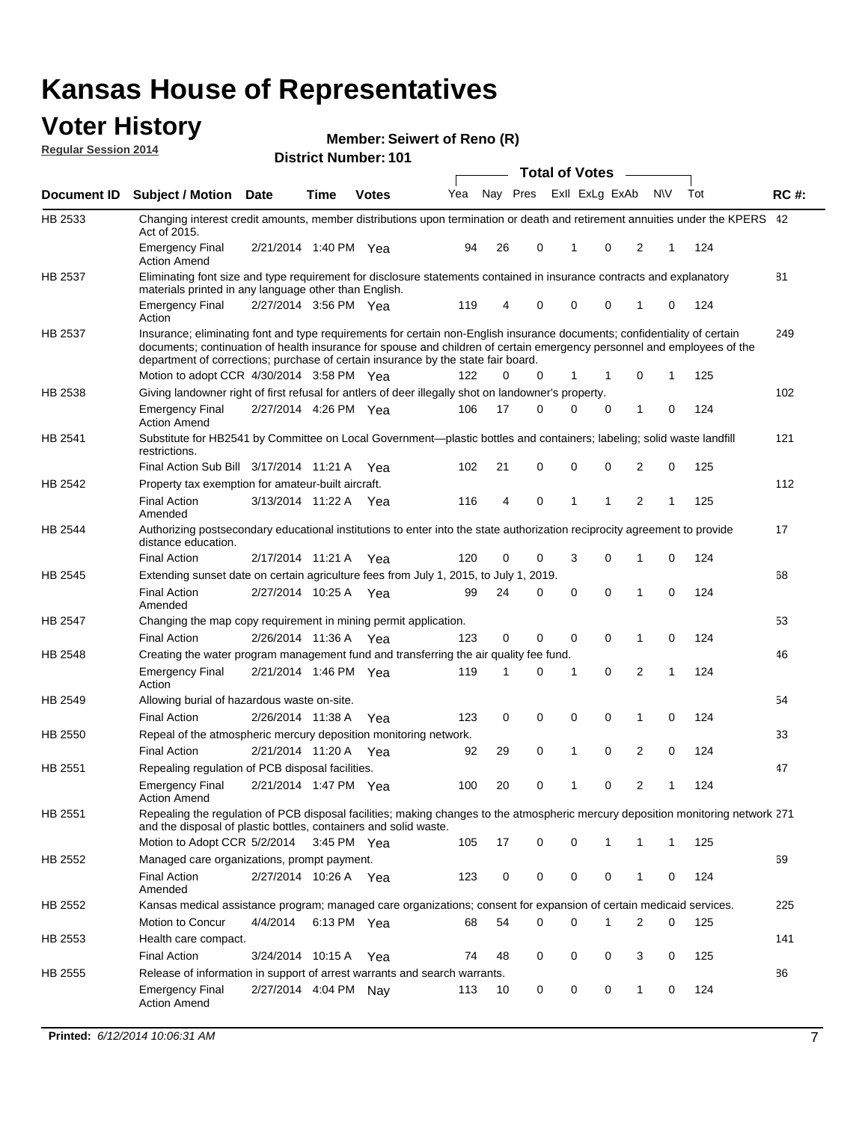#### **Voter History Regular Session 2014**

**Member: Seiwert of Reno (R)** 

|                    | <b>Total of Votes</b>                                                                                                                                                                                                                                                                                                                     |                       |             |              |     |    |                         |              |          |                |              |     |             |
|--------------------|-------------------------------------------------------------------------------------------------------------------------------------------------------------------------------------------------------------------------------------------------------------------------------------------------------------------------------------------|-----------------------|-------------|--------------|-----|----|-------------------------|--------------|----------|----------------|--------------|-----|-------------|
| <b>Document ID</b> | <b>Subject / Motion Date</b>                                                                                                                                                                                                                                                                                                              |                       | Time        | <b>Votes</b> | Yea |    | Nay Pres ExII ExLg ExAb |              |          |                | N\V          | Tot | <b>RC#:</b> |
| HB 2533            | Changing interest credit amounts, member distributions upon termination or death and retirement annuities under the KPERS 42<br>Act of 2015.                                                                                                                                                                                              |                       |             |              |     |    |                         |              |          |                |              |     |             |
|                    | <b>Emergency Final</b><br><b>Action Amend</b>                                                                                                                                                                                                                                                                                             | 2/21/2014 1:40 PM Yea |             |              | 94  | 26 | 0                       | 1            | 0        | 2              | 1            | 124 |             |
| HB 2537            | Eliminating font size and type requirement for disclosure statements contained in insurance contracts and explanatory                                                                                                                                                                                                                     |                       |             |              |     |    |                         |              |          |                |              |     | 81          |
|                    | materials printed in any language other than English.<br><b>Emergency Final</b>                                                                                                                                                                                                                                                           | 2/27/2014 3:56 PM Yea |             |              | 119 | 4  | 0                       | 0            | 0        | 1              | 0            | 124 |             |
|                    | Action                                                                                                                                                                                                                                                                                                                                    |                       |             |              |     |    |                         |              |          |                |              |     |             |
| HB 2537            | Insurance; eliminating font and type requirements for certain non-English insurance documents; confidentiality of certain<br>documents; continuation of health insurance for spouse and children of certain emergency personnel and employees of the<br>department of corrections; purchase of certain insurance by the state fair board. |                       |             |              |     |    |                         |              |          |                |              |     | 249         |
|                    | Motion to adopt CCR 4/30/2014 3:58 PM Yea                                                                                                                                                                                                                                                                                                 |                       |             |              | 122 | 0  | 0                       | 1            | 1        | $\mathbf 0$    | 1            | 125 |             |
| HB 2538            | Giving landowner right of first refusal for antlers of deer illegally shot on landowner's property.                                                                                                                                                                                                                                       |                       |             |              |     |    |                         |              |          |                |              |     | 102         |
|                    | <b>Emergency Final</b><br><b>Action Amend</b>                                                                                                                                                                                                                                                                                             | 2/27/2014 4:26 PM Yea |             |              | 106 | 17 | 0                       | 0            | 0        | 1              | 0            | 124 |             |
| HB 2541            | Substitute for HB2541 by Committee on Local Government—plastic bottles and containers; labeling; solid waste landfill<br>restrictions.                                                                                                                                                                                                    |                       |             |              |     |    |                         |              |          |                |              |     | 121         |
|                    | Final Action Sub Bill 3/17/2014 11:21 A Yea                                                                                                                                                                                                                                                                                               |                       |             |              | 102 | 21 | 0                       | 0            | 0        | 2              | 0            | 125 |             |
| HB 2542            | Property tax exemption for amateur-built aircraft.                                                                                                                                                                                                                                                                                        |                       |             |              |     |    |                         |              |          |                |              |     | 112         |
|                    | <b>Final Action</b><br>Amended                                                                                                                                                                                                                                                                                                            | 3/13/2014 11:22 A Yea |             |              | 116 | 4  | 0                       | 1            | 1        | 2              | 1            | 125 |             |
| HB 2544            | Authorizing postsecondary educational institutions to enter into the state authorization reciprocity agreement to provide<br>distance education.                                                                                                                                                                                          |                       |             |              |     |    |                         |              |          |                |              |     | 17          |
|                    | <b>Final Action</b>                                                                                                                                                                                                                                                                                                                       | 2/17/2014 11:21 A Yea |             |              | 120 | 0  | 0                       | 3            | 0        | 1              | 0            | 124 |             |
| HB 2545            | Extending sunset date on certain agriculture fees from July 1, 2015, to July 1, 2019.                                                                                                                                                                                                                                                     |                       |             |              |     |    |                         |              |          |                |              |     | 68          |
|                    | <b>Final Action</b><br>Amended                                                                                                                                                                                                                                                                                                            | 2/27/2014 10:25 A Yea |             |              | 99  | 24 | 0                       | $\mathbf 0$  | $\Omega$ | 1              | 0            | 124 |             |
| HB 2547            | Changing the map copy requirement in mining permit application.                                                                                                                                                                                                                                                                           |                       |             |              |     |    |                         |              |          |                |              |     | 53          |
|                    | <b>Final Action</b>                                                                                                                                                                                                                                                                                                                       | 2/26/2014 11:36 A     |             | Yea          | 123 | 0  | 0                       | 0            | 0        | 1              | 0            | 124 |             |
| HB 2548            | Creating the water program management fund and transferring the air quality fee fund.                                                                                                                                                                                                                                                     |                       |             |              |     |    |                         |              |          |                |              |     | 46          |
|                    | <b>Emergency Final</b><br>Action                                                                                                                                                                                                                                                                                                          | 2/21/2014 1:46 PM Yea |             |              | 119 | 1  | 0                       | 1            | 0        | 2              | 1            | 124 |             |
| HB 2549            | Allowing burial of hazardous waste on-site.                                                                                                                                                                                                                                                                                               |                       |             |              |     |    |                         |              |          |                |              |     | 54          |
|                    | <b>Final Action</b>                                                                                                                                                                                                                                                                                                                       | 2/26/2014 11:38 A     |             | Yea          | 123 | 0  | $\mathbf 0$             | $\mathbf 0$  | 0        | 1              | 0            | 124 |             |
| HB 2550            | Repeal of the atmospheric mercury deposition monitoring network.                                                                                                                                                                                                                                                                          |                       |             |              |     |    |                         |              |          |                |              |     | 33          |
|                    | <b>Final Action</b>                                                                                                                                                                                                                                                                                                                       | 2/21/2014 11:20 A Yea |             |              | 92  | 29 | 0                       | $\mathbf{1}$ | 0        | $\overline{2}$ | 0            | 124 |             |
| HB 2551            | Repealing regulation of PCB disposal facilities.                                                                                                                                                                                                                                                                                          |                       |             |              |     |    |                         |              |          |                |              |     | 47          |
|                    | <b>Emergency Final</b><br>Action Amend                                                                                                                                                                                                                                                                                                    | 2/21/2014 1:47 PM Yea |             |              | 100 | 20 | 0                       | $\mathbf{1}$ | 0        | $\overline{2}$ | 1            | 124 |             |
| HB 2551            | Repealing the regulation of PCB disposal facilities; making changes to the atmospheric mercury deposition monitoring network 271<br>and the disposal of plastic bottles, containers and solid waste.                                                                                                                                      |                       |             |              |     |    |                         |              |          |                |              |     |             |
|                    | Motion to Adopt CCR 5/2/2014                                                                                                                                                                                                                                                                                                              |                       | 3:45 PM Yea |              | 105 | 17 | 0                       | 0            | 1        | 1              | $\mathbf{1}$ | 125 |             |
| HB 2552            | Managed care organizations, prompt payment.                                                                                                                                                                                                                                                                                               |                       |             |              |     |    |                         |              |          |                |              |     | 69          |
|                    | <b>Final Action</b><br>Amended                                                                                                                                                                                                                                                                                                            | 2/27/2014 10:26 A Yea |             |              | 123 | 0  | 0                       | 0            | 0        | 1              | 0            | 124 |             |
| HB 2552            | Kansas medical assistance program; managed care organizations; consent for expansion of certain medicaid services.                                                                                                                                                                                                                        |                       |             |              |     |    |                         |              |          |                |              |     | 225         |
|                    | Motion to Concur                                                                                                                                                                                                                                                                                                                          | 4/4/2014              | 6:13 PM Yea |              | 68  | 54 | 0                       | 0            | 1        | 2              | 0            | 125 |             |
| HB 2553            | Health care compact.                                                                                                                                                                                                                                                                                                                      |                       |             |              |     |    |                         |              |          |                |              |     | 141         |
|                    | <b>Final Action</b>                                                                                                                                                                                                                                                                                                                       | 3/24/2014 10:15 A     |             | Yea          | 74  | 48 | 0                       | 0            | 0        | 3              | 0            | 125 |             |
| HB 2555            | Release of information in support of arrest warrants and search warrants.                                                                                                                                                                                                                                                                 |                       |             |              |     |    |                         |              |          |                |              |     | 86          |
|                    | <b>Emergency Final</b><br><b>Action Amend</b>                                                                                                                                                                                                                                                                                             | 2/27/2014 4:04 PM Nay |             |              | 113 | 10 | 0                       | 0            | 0        | 1              | 0            | 124 |             |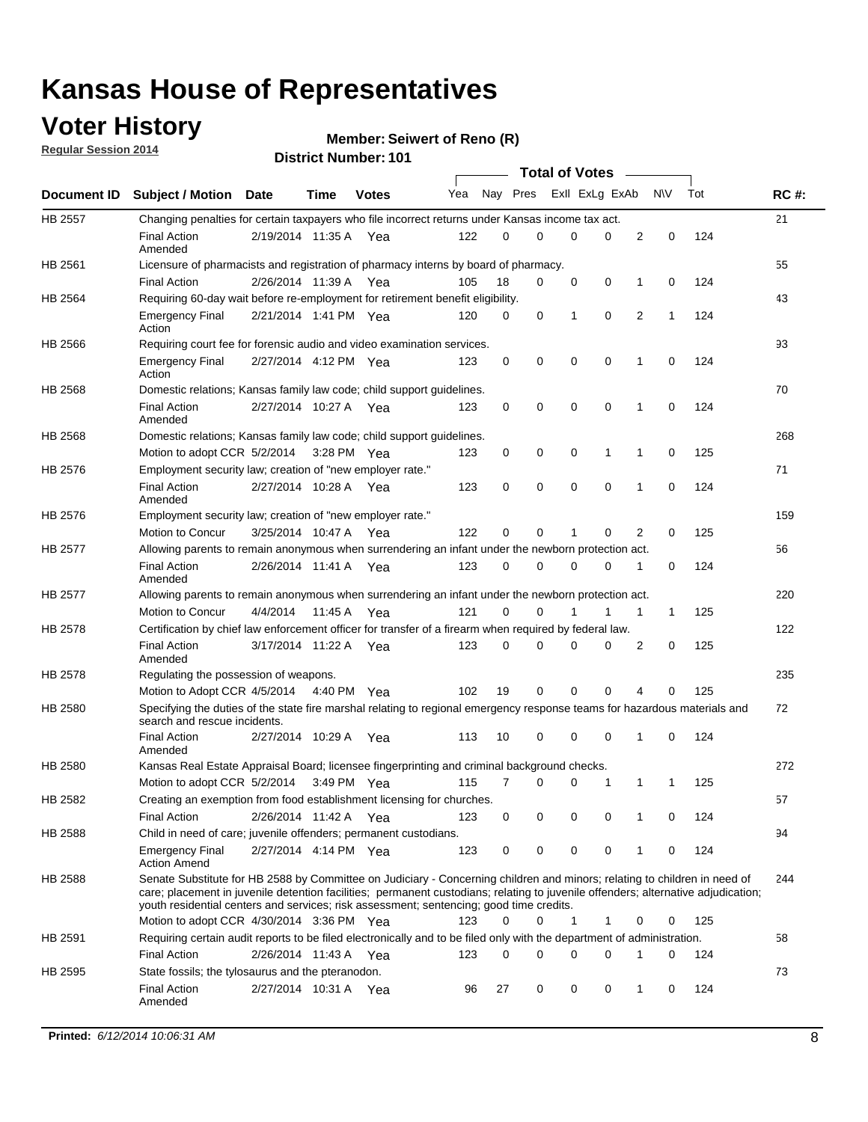### **Voter History**

**Regular Session 2014**

|                |                                                                                                                                                                                                                                                                                                                                                           |                       |         | <b>DISTRICT MAILINGL.</b> IN I |     |          |             | <b>Total of Votes</b>   |             |                |              |     |             |
|----------------|-----------------------------------------------------------------------------------------------------------------------------------------------------------------------------------------------------------------------------------------------------------------------------------------------------------------------------------------------------------|-----------------------|---------|--------------------------------|-----|----------|-------------|-------------------------|-------------|----------------|--------------|-----|-------------|
| Document ID    | <b>Subject / Motion Date</b>                                                                                                                                                                                                                                                                                                                              |                       | Time    | <b>Votes</b>                   | Yea |          |             | Nay Pres ExII ExLg ExAb |             |                | <b>NV</b>    | Tot | <b>RC#:</b> |
| <b>HB 2557</b> | Changing penalties for certain taxpayers who file incorrect returns under Kansas income tax act.                                                                                                                                                                                                                                                          |                       |         |                                |     |          |             |                         |             |                |              |     | 21          |
|                | <b>Final Action</b><br>Amended                                                                                                                                                                                                                                                                                                                            | 2/19/2014 11:35 A Yea |         |                                | 122 | $\Omega$ | $\Omega$    | 0                       | 0           | $\overline{2}$ | 0            | 124 |             |
| HB 2561        | Licensure of pharmacists and registration of pharmacy interns by board of pharmacy.                                                                                                                                                                                                                                                                       |                       |         |                                |     |          |             |                         |             |                |              |     | 55          |
|                | <b>Final Action</b>                                                                                                                                                                                                                                                                                                                                       | 2/26/2014 11:39 A     |         | Yea                            | 105 | 18       | 0           | 0                       | 0           | 1              | 0            | 124 |             |
| HB 2564        | Requiring 60-day wait before re-employment for retirement benefit eligibility.                                                                                                                                                                                                                                                                            |                       |         |                                |     |          |             |                         |             |                |              |     | 43          |
|                | <b>Emergency Final</b><br>Action                                                                                                                                                                                                                                                                                                                          | 2/21/2014 1:41 PM Yea |         |                                | 120 | 0        | 0           | 1                       | $\mathbf 0$ | $\overline{2}$ | 1            | 124 |             |
| HB 2566        | Requiring court fee for forensic audio and video examination services.                                                                                                                                                                                                                                                                                    |                       |         |                                |     |          |             |                         |             |                |              |     | 93          |
|                | <b>Emergency Final</b><br>Action                                                                                                                                                                                                                                                                                                                          | 2/27/2014 4:12 PM Yea |         |                                | 123 | 0        | $\mathbf 0$ | 0                       | $\mathbf 0$ | 1              | 0            | 124 |             |
| HB 2568        | Domestic relations; Kansas family law code; child support guidelines.                                                                                                                                                                                                                                                                                     |                       |         |                                |     |          |             |                         |             |                |              |     | 70          |
|                | <b>Final Action</b><br>Amended                                                                                                                                                                                                                                                                                                                            | 2/27/2014 10:27 A Yea |         |                                | 123 | 0        | 0           | $\mathbf 0$             | $\mathbf 0$ | 1              | 0            | 124 |             |
| HB 2568        | Domestic relations; Kansas family law code; child support guidelines.                                                                                                                                                                                                                                                                                     |                       |         |                                |     |          |             |                         |             |                |              |     | 268         |
|                | Motion to adopt CCR 5/2/2014                                                                                                                                                                                                                                                                                                                              |                       |         | 3:28 PM Yea                    | 123 | 0        | 0           | 0                       | 1           | 1              | 0            | 125 |             |
| HB 2576        | Employment security law; creation of "new employer rate."                                                                                                                                                                                                                                                                                                 |                       |         |                                |     |          |             |                         |             |                |              |     | 71          |
|                | <b>Final Action</b><br>Amended                                                                                                                                                                                                                                                                                                                            | 2/27/2014 10:28 A Yea |         |                                | 123 | 0        | $\mathbf 0$ | $\mathbf 0$             | $\mathbf 0$ | 1              | 0            | 124 |             |
| HB 2576        | Employment security law; creation of "new employer rate."                                                                                                                                                                                                                                                                                                 |                       |         |                                |     |          |             |                         |             |                |              |     | 159         |
|                | Motion to Concur                                                                                                                                                                                                                                                                                                                                          | 3/25/2014 10:47 A     |         | Yea                            | 122 | $\Omega$ | $\Omega$    | 1                       | 0           | 2              | 0            | 125 |             |
| <b>HB 2577</b> | Allowing parents to remain anonymous when surrendering an infant under the newborn protection act.                                                                                                                                                                                                                                                        |                       |         |                                |     |          |             |                         |             |                |              |     | 56          |
|                | <b>Final Action</b><br>Amended                                                                                                                                                                                                                                                                                                                            | 2/26/2014 11:41 A     |         | Yea                            | 123 | 0        | 0           | 0                       | 0           | 1              | 0            | 124 |             |
| HB 2577        | Allowing parents to remain anonymous when surrendering an infant under the newborn protection act.                                                                                                                                                                                                                                                        |                       |         |                                |     |          |             |                         |             |                |              |     | 220         |
|                | <b>Motion to Concur</b>                                                                                                                                                                                                                                                                                                                                   | 4/4/2014              | 11:45 A | Yea                            | 121 | $\Omega$ | $\Omega$    |                         | 1           | 1              | $\mathbf{1}$ | 125 |             |
| HB 2578        | Certification by chief law enforcement officer for transfer of a firearm when required by federal law.                                                                                                                                                                                                                                                    |                       |         |                                |     |          |             |                         |             |                |              |     | 122         |
|                | <b>Final Action</b><br>Amended                                                                                                                                                                                                                                                                                                                            | 3/17/2014 11:22 A Yea |         |                                | 123 | 0        | 0           | 0                       | 0           | 2              | 0            | 125 |             |
| HB 2578        | Regulating the possession of weapons.                                                                                                                                                                                                                                                                                                                     |                       |         |                                |     |          |             |                         |             |                |              |     | 235         |
|                | Motion to Adopt CCR 4/5/2014 4:40 PM Yea                                                                                                                                                                                                                                                                                                                  |                       |         |                                | 102 | 19       | 0           | $\mathbf 0$             | 0           | 4              | 0            | 125 |             |
| HB 2580        | Specifying the duties of the state fire marshal relating to regional emergency response teams for hazardous materials and<br>search and rescue incidents.                                                                                                                                                                                                 |                       |         |                                |     |          |             |                         |             |                |              |     | 72          |
|                | <b>Final Action</b><br>Amended                                                                                                                                                                                                                                                                                                                            | 2/27/2014 10:29 A     |         | Yea                            | 113 | 10       | 0           | 0                       | 0           | 1              | 0            | 124 |             |
| HB 2580        | Kansas Real Estate Appraisal Board; licensee fingerprinting and criminal background checks.                                                                                                                                                                                                                                                               |                       |         |                                |     |          |             |                         |             |                |              |     | 272         |
|                | Motion to adopt CCR 5/2/2014 3:49 PM Yea                                                                                                                                                                                                                                                                                                                  |                       |         |                                | 115 | 7        | 0           | 0                       | 1           | $\mathbf{1}$   | 1            | 125 |             |
| HB 2582        | Creating an exemption from food establishment licensing for churches.                                                                                                                                                                                                                                                                                     |                       |         |                                |     |          |             |                         |             |                |              |     | 57          |
|                | <b>Final Action</b>                                                                                                                                                                                                                                                                                                                                       | 2/26/2014 11:42 A     |         | Yea                            | 123 | 0        | 0           | 0                       | 0           |                | 0            | 124 |             |
| HB 2588        | Child in need of care; juvenile offenders; permanent custodians.                                                                                                                                                                                                                                                                                          |                       |         |                                |     |          |             |                         |             |                |              |     | 94          |
|                | <b>Emergency Final</b><br><b>Action Amend</b>                                                                                                                                                                                                                                                                                                             | 2/27/2014 4:14 PM Yea |         |                                | 123 | 0        | 0           | 0                       | 0           | 1              | 0            | 124 |             |
| HB 2588        | Senate Substitute for HB 2588 by Committee on Judiciary - Concerning children and minors; relating to children in need of<br>care; placement in juvenile detention facilities; permanent custodians; relating to juvenile offenders; alternative adjudication;<br>youth residential centers and services; risk assessment; sentencing; good time credits. |                       |         |                                |     |          |             |                         |             |                |              |     | 244         |
|                | Motion to adopt CCR 4/30/2014 3:36 PM Yea                                                                                                                                                                                                                                                                                                                 |                       |         |                                | 123 | 0        | 0           | 1                       | 1           | 0              | 0            | 125 |             |
| HB 2591        | Requiring certain audit reports to be filed electronically and to be filed only with the department of administration.                                                                                                                                                                                                                                    |                       |         |                                |     |          |             |                         |             |                |              |     | 58          |
|                | <b>Final Action</b>                                                                                                                                                                                                                                                                                                                                       | 2/26/2014 11:43 A     |         | Yea                            | 123 | 0        | 0           | 0                       | 0           | $\mathbf 1$    | 0            | 124 |             |
| HB 2595        | State fossils; the tylosaurus and the pteranodon.                                                                                                                                                                                                                                                                                                         |                       |         |                                |     |          |             |                         |             |                |              |     | 73          |
|                | <b>Final Action</b><br>Amended                                                                                                                                                                                                                                                                                                                            | 2/27/2014 10:31 A Yea |         |                                | 96  | 27       | 0           | 0                       | 0           | 1              | 0            | 124 |             |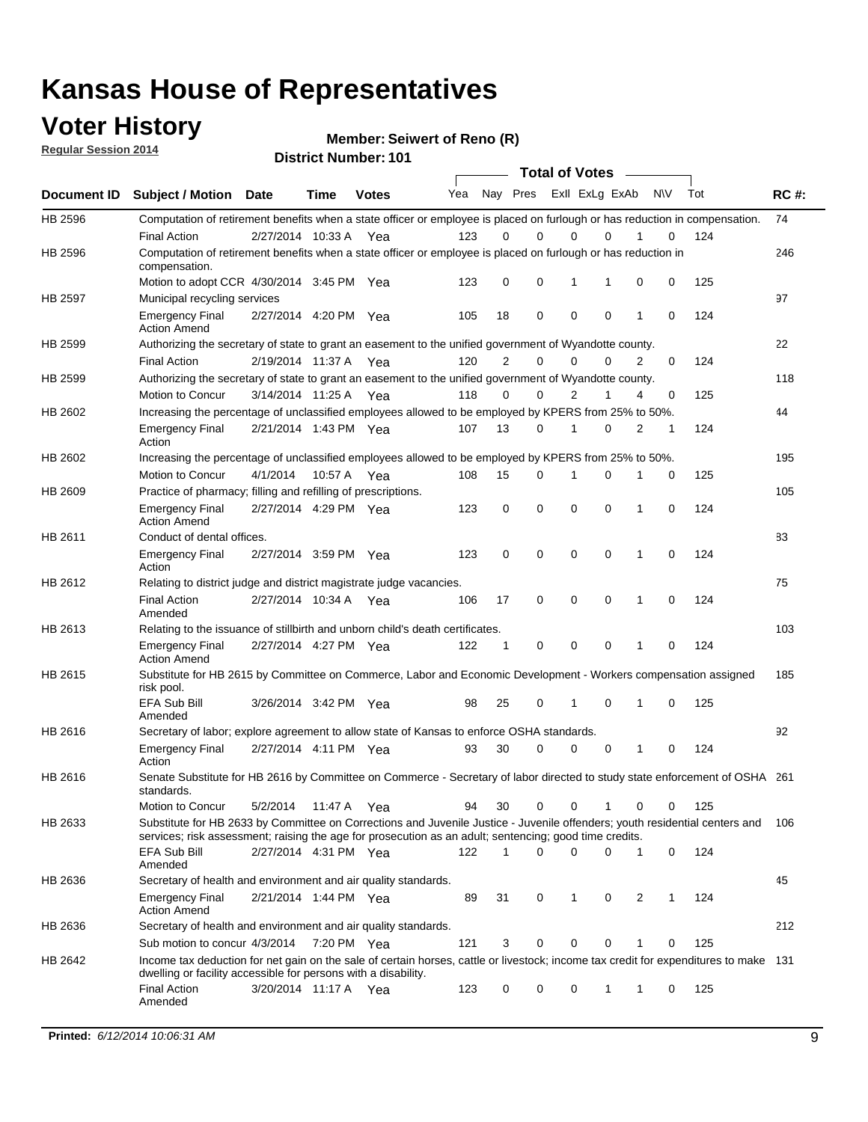### **Voter History**

**Regular Session 2014**

|             |                                                                                                                                                                                                                                       |                       |             |              |     |    | <b>Total of Votes</b>   |             |             |   |     |     |             |
|-------------|---------------------------------------------------------------------------------------------------------------------------------------------------------------------------------------------------------------------------------------|-----------------------|-------------|--------------|-----|----|-------------------------|-------------|-------------|---|-----|-----|-------------|
| Document ID | <b>Subject / Motion</b>                                                                                                                                                                                                               | Date                  | <b>Time</b> | <b>Votes</b> | Yea |    | Nay Pres Exll ExLg ExAb |             |             |   | N\V | Tot | <b>RC#:</b> |
| HB 2596     | Computation of retirement benefits when a state officer or employee is placed on furlough or has reduction in compensation.                                                                                                           |                       |             |              | 123 | 0  | $\Omega$                | 0           | 0           |   | 0   | 124 | 74          |
| HB 2596     | <b>Final Action</b><br>Computation of retirement benefits when a state officer or employee is placed on furlough or has reduction in<br>compensation.                                                                                 | 2/27/2014 10:33 A     |             | Yea          |     |    |                         |             |             |   |     |     | 246         |
|             | Motion to adopt CCR 4/30/2014 3:45 PM Yea                                                                                                                                                                                             |                       |             |              | 123 | 0  | 0                       | 1           | 1           | 0 | 0   | 125 |             |
| HB 2597     | Municipal recycling services                                                                                                                                                                                                          |                       |             |              |     |    |                         |             |             |   |     |     | 97          |
|             | <b>Emergency Final</b><br><b>Action Amend</b>                                                                                                                                                                                         | 2/27/2014 4:20 PM Yea |             |              | 105 | 18 | $\mathbf 0$             | $\mathbf 0$ | $\mathbf 0$ | 1 | 0   | 124 |             |
| HB 2599     | Authorizing the secretary of state to grant an easement to the unified government of Wyandotte county.                                                                                                                                |                       |             |              |     |    |                         |             |             |   |     |     | 22          |
|             | <b>Final Action</b>                                                                                                                                                                                                                   | 2/19/2014 11:37 A     |             | Yea          | 120 | 2  | 0                       | 0           | 0           | 2 | 0   | 124 |             |
| HB 2599     | Authorizing the secretary of state to grant an easement to the unified government of Wyandotte county.                                                                                                                                |                       |             |              |     |    |                         |             |             |   |     |     | 118         |
|             | Motion to Concur                                                                                                                                                                                                                      | 3/14/2014 11:25 A Yea |             |              | 118 | 0  | 0                       | 2           | 1           | 4 | 0   | 125 |             |
| HB 2602     | Increasing the percentage of unclassified employees allowed to be employed by KPERS from 25% to 50%.                                                                                                                                  |                       |             |              |     |    |                         |             |             |   |     |     | 44          |
|             | <b>Emergency Final</b><br>Action                                                                                                                                                                                                      | 2/21/2014 1:43 PM Yea |             |              | 107 | 13 | 0                       | 1           | 0           | 2 | 1   | 124 |             |
| HB 2602     | Increasing the percentage of unclassified employees allowed to be employed by KPERS from 25% to 50%.                                                                                                                                  |                       |             |              |     |    |                         |             |             |   |     |     | 195         |
|             | Motion to Concur                                                                                                                                                                                                                      | 4/1/2014              | 10:57 A     | Yea          | 108 | 15 | 0                       | 1           | $\Omega$    | 1 | 0   | 125 |             |
| HB 2609     | Practice of pharmacy; filling and refilling of prescriptions.                                                                                                                                                                         |                       |             |              |     |    |                         |             |             |   |     |     | 105         |
|             | <b>Emergency Final</b><br><b>Action Amend</b>                                                                                                                                                                                         | 2/27/2014 4:29 PM Yea |             |              | 123 | 0  | $\mathbf 0$             | $\mathbf 0$ | $\Omega$    | 1 | 0   | 124 |             |
| HB 2611     | Conduct of dental offices.                                                                                                                                                                                                            |                       |             |              |     |    |                         |             |             |   |     |     | 83          |
|             | <b>Emergency Final</b><br>Action                                                                                                                                                                                                      | 2/27/2014 3:59 PM Yea |             |              | 123 | 0  | $\mathbf 0$             | 0           | $\mathbf 0$ | 1 | 0   | 124 |             |
| HB 2612     | Relating to district judge and district magistrate judge vacancies.                                                                                                                                                                   |                       |             |              |     |    |                         |             |             |   |     |     | 75          |
|             | <b>Final Action</b><br>Amended                                                                                                                                                                                                        | 2/27/2014 10:34 A     |             | Yea          | 106 | 17 | 0                       | $\mathbf 0$ | $\mathbf 0$ | 1 | 0   | 124 |             |
| HB 2613     | Relating to the issuance of stillbirth and unborn child's death certificates.                                                                                                                                                         |                       |             |              |     |    |                         |             |             |   |     |     | 103         |
|             | <b>Emergency Final</b><br><b>Action Amend</b>                                                                                                                                                                                         | 2/27/2014 4:27 PM Yea |             |              | 122 | 1  | $\mathbf 0$             | $\mathbf 0$ | 0           | 1 | 0   | 124 |             |
| HB 2615     | Substitute for HB 2615 by Committee on Commerce, Labor and Economic Development - Workers compensation assigned<br>risk pool.                                                                                                         |                       |             |              |     |    |                         |             |             |   |     |     | 185         |
|             | EFA Sub Bill<br>Amended                                                                                                                                                                                                               | 3/26/2014 3:42 PM Yea |             |              | 98  | 25 | 0                       | 1           | 0           | 1 | 0   | 125 |             |
| HB 2616     | Secretary of labor; explore agreement to allow state of Kansas to enforce OSHA standards.                                                                                                                                             |                       |             |              |     |    |                         |             |             |   |     |     | 92          |
|             | <b>Emergency Final</b><br>Action                                                                                                                                                                                                      | 2/27/2014 4:11 PM Yea |             |              | 93  | 30 | 0                       | $\mathbf 0$ | 0           | 1 | 0   | 124 |             |
| HB 2616     | Senate Substitute for HB 2616 by Committee on Commerce - Secretary of labor directed to study state enforcement of OSHA 261<br>standards.                                                                                             |                       |             |              |     |    |                         |             |             |   |     |     |             |
|             | Motion to Concur                                                                                                                                                                                                                      | 5/2/2014 11:47 A      |             | Yea          | 94  | 30 | $\mathbf 0$             | $\mathbf 0$ | 1           | 0 | 0   | 125 |             |
| HB 2633     | Substitute for HB 2633 by Committee on Corrections and Juvenile Justice - Juvenile offenders; youth residential centers and<br>services; risk assessment; raising the age for prosecution as an adult; sentencing; good time credits. |                       |             |              |     |    | $\Omega$                |             |             |   |     |     | 106         |
|             | EFA Sub Bill<br>Amended                                                                                                                                                                                                               | 2/27/2014 4:31 PM Yea |             |              | 122 | 1  |                         | 0           | 0           | 1 | 0   | 124 |             |
| HB 2636     | Secretary of health and environment and air quality standards.                                                                                                                                                                        |                       |             |              |     |    |                         |             |             |   |     |     | 45          |
|             | <b>Emergency Final</b><br><b>Action Amend</b>                                                                                                                                                                                         | 2/21/2014 1:44 PM Yea |             |              | 89  | 31 | 0                       | 1           | 0           | 2 | 1   | 124 |             |
| HB 2636     | Secretary of health and environment and air quality standards.                                                                                                                                                                        |                       |             |              |     |    |                         |             |             |   |     |     | 212         |
|             | Sub motion to concur 4/3/2014                                                                                                                                                                                                         |                       | 7:20 PM Yea |              | 121 | 3  | 0                       | 0           | 0           | 1 | 0   | 125 |             |
| HB 2642     | Income tax deduction for net gain on the sale of certain horses, cattle or livestock; income tax credit for expenditures to make 131<br>dwelling or facility accessible for persons with a disability.                                |                       |             |              |     |    |                         |             |             |   |     |     |             |
|             | <b>Final Action</b><br>Amended                                                                                                                                                                                                        | 3/20/2014 11:17 A Yea |             |              | 123 | 0  | 0                       | 0           | 1           | 1 | 0   | 125 |             |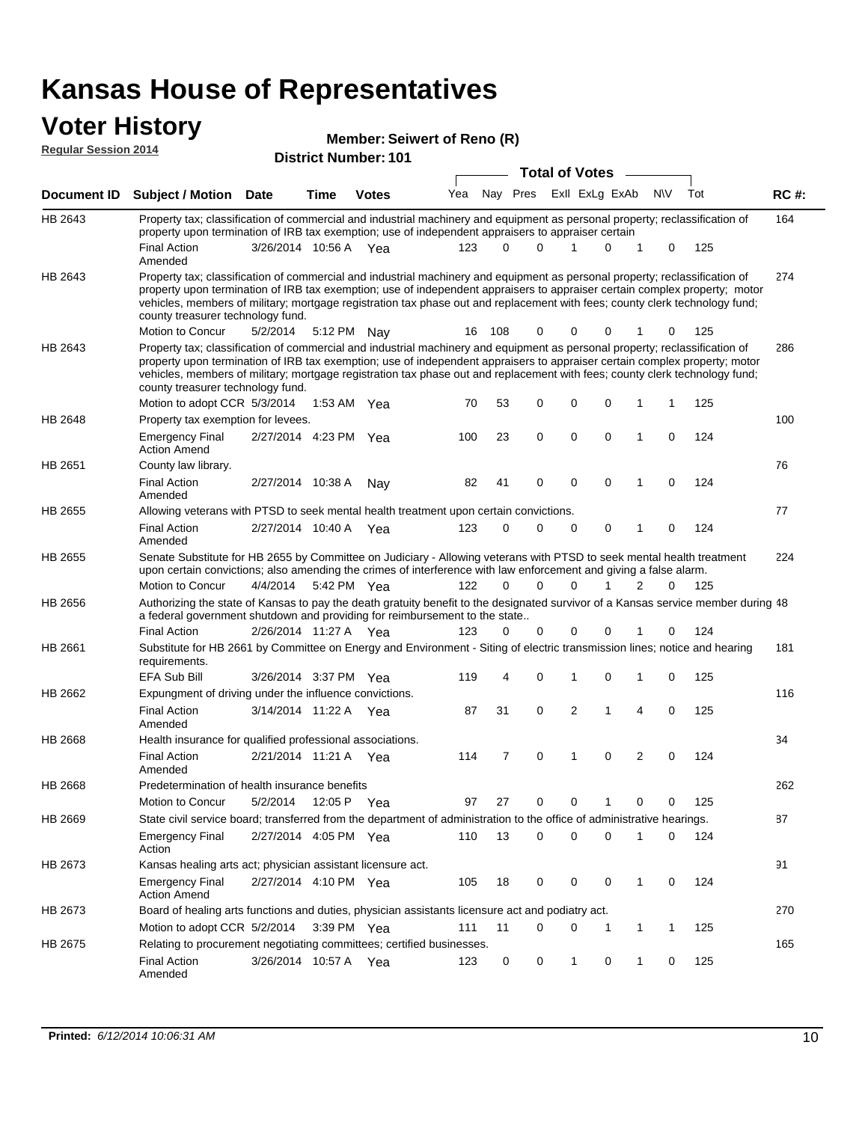#### **Voter History Regular Session 2014**

#### **Member: Seiwert of Reno (R)**

|                | DISTICT MAILING TO L<br><b>Total of Votes</b>                                                                                                                                                                                                                                                                                                                                                                                 |                       |      |              |     |        |                               |   |                |             |              |           |     |             |
|----------------|-------------------------------------------------------------------------------------------------------------------------------------------------------------------------------------------------------------------------------------------------------------------------------------------------------------------------------------------------------------------------------------------------------------------------------|-----------------------|------|--------------|-----|--------|-------------------------------|---|----------------|-------------|--------------|-----------|-----|-------------|
|                | Document ID Subject / Motion Date                                                                                                                                                                                                                                                                                                                                                                                             |                       | Time | <b>Votes</b> | Yea |        | Nay Pres                      |   | Exll ExLg ExAb |             |              | <b>NV</b> | Tot | <b>RC#:</b> |
| HB 2643        | Property tax; classification of commercial and industrial machinery and equipment as personal property; reclassification of                                                                                                                                                                                                                                                                                                   |                       |      |              |     |        |                               |   |                |             |              |           |     | 164         |
|                | property upon termination of IRB tax exemption; use of independent appraisers to appraiser certain                                                                                                                                                                                                                                                                                                                            |                       |      |              |     |        |                               |   |                |             |              |           |     |             |
|                | <b>Final Action</b><br>Amended                                                                                                                                                                                                                                                                                                                                                                                                | 3/26/2014 10:56 A Yea |      |              | 123 |        | 0<br>0                        |   | 1              | 0           | 1            | 0         | 125 |             |
| HB 2643        | Property tax; classification of commercial and industrial machinery and equipment as personal property; reclassification of<br>property upon termination of IRB tax exemption; use of independent appraisers to appraiser certain complex property; motor<br>vehicles, members of military; mortgage registration tax phase out and replacement with fees; county clerk technology fund;<br>county treasurer technology fund. |                       |      |              |     |        |                               |   |                |             |              |           |     | 274         |
|                | Motion to Concur                                                                                                                                                                                                                                                                                                                                                                                                              | 5/2/2014              |      | 5:12 PM Nay  |     | 16 108 | 0                             |   | 0              | 0           | 1            | 0         | 125 |             |
| HB 2643        | Property tax; classification of commercial and industrial machinery and equipment as personal property; reclassification of<br>property upon termination of IRB tax exemption; use of independent appraisers to appraiser certain complex property; motor<br>vehicles, members of military; mortgage registration tax phase out and replacement with fees; county clerk technology fund;<br>county treasurer technology fund. |                       |      |              |     |        |                               |   |                |             |              |           |     | 286         |
|                | Motion to adopt CCR 5/3/2014                                                                                                                                                                                                                                                                                                                                                                                                  |                       |      | 1:53 AM Yea  | 70  | 53     | 0                             |   | $\mathbf 0$    | 0           | 1            | 1         | 125 |             |
| HB 2648        | Property tax exemption for levees.                                                                                                                                                                                                                                                                                                                                                                                            |                       |      |              |     |        |                               |   |                |             |              |           |     | 100         |
|                | <b>Emergency Final</b><br><b>Action Amend</b>                                                                                                                                                                                                                                                                                                                                                                                 | 2/27/2014 4:23 PM Yea |      |              | 100 | 23     | 0                             |   | $\mathbf 0$    | 0           | 1            | 0         | 124 |             |
| HB 2651        | County law library.                                                                                                                                                                                                                                                                                                                                                                                                           |                       |      |              |     |        |                               |   |                |             |              |           |     | 76          |
|                | <b>Final Action</b><br>Amended                                                                                                                                                                                                                                                                                                                                                                                                | 2/27/2014 10:38 A     |      | Nay          | 82  | 41     | 0                             |   | $\mathbf 0$    | 0           | 1            | 0         | 124 |             |
| HB 2655        | Allowing veterans with PTSD to seek mental health treatment upon certain convictions.                                                                                                                                                                                                                                                                                                                                         |                       |      |              |     |        |                               |   |                |             |              |           |     | 77          |
|                | <b>Final Action</b><br>Amended                                                                                                                                                                                                                                                                                                                                                                                                | 2/27/2014 10:40 A     |      | Yea          | 123 |        | 0<br>0                        |   | 0              | 0           | 1            | 0         | 124 |             |
| HB 2655        | Senate Substitute for HB 2655 by Committee on Judiciary - Allowing veterans with PTSD to seek mental health treatment<br>upon certain convictions; also amending the crimes of interference with law enforcement and giving a false alarm.                                                                                                                                                                                    |                       |      |              |     |        |                               |   |                |             |              |           |     | 224         |
|                | Motion to Concur                                                                                                                                                                                                                                                                                                                                                                                                              | 4/4/2014              |      | 5:42 PM Yea  | 122 |        | 0<br>0                        |   | $\Omega$       |             | 2            | 0         | 125 |             |
| HB 2656        | Authorizing the state of Kansas to pay the death gratuity benefit to the designated survivor of a Kansas service member during 48<br>a federal government shutdown and providing for reimbursement to the state                                                                                                                                                                                                               |                       |      |              |     |        |                               |   |                |             |              |           |     |             |
|                | <b>Final Action</b>                                                                                                                                                                                                                                                                                                                                                                                                           | 2/26/2014 11:27 A Yea |      |              | 123 |        | 0<br>0                        |   | $\mathbf 0$    | 0           | 1            | 0         | 124 |             |
| HB 2661        | Substitute for HB 2661 by Committee on Energy and Environment - Siting of electric transmission lines; notice and hearing<br>requirements.                                                                                                                                                                                                                                                                                    |                       |      |              |     |        |                               |   |                |             |              |           |     | 181         |
|                | <b>EFA Sub Bill</b>                                                                                                                                                                                                                                                                                                                                                                                                           | 3/26/2014 3:37 PM Yea |      |              | 119 |        | 0<br>4                        |   | $\mathbf 1$    | 0           | 1            | 0         | 125 |             |
| HB 2662        | Expungment of driving under the influence convictions.                                                                                                                                                                                                                                                                                                                                                                        |                       |      |              |     |        |                               |   |                |             |              |           |     | 116         |
|                | <b>Final Action</b><br>Amended                                                                                                                                                                                                                                                                                                                                                                                                | 3/14/2014 11:22 A Yea |      |              | 87  | 31     | 0                             |   | $\overline{2}$ | 1           | 4            | 0         | 125 |             |
| <b>HB 2668</b> | Health insurance for qualified professional associations.                                                                                                                                                                                                                                                                                                                                                                     |                       |      |              |     |        |                               |   |                |             |              |           |     | 34          |
|                | <b>Final Action</b><br>Amended                                                                                                                                                                                                                                                                                                                                                                                                | 2/21/2014 11:21 A Yea |      |              | 114 |        | $\mathbf 0$<br>$\overline{7}$ |   | $\mathbf 1$    | $\mathbf 0$ | 2            | 0         | 124 |             |
| HB 2668        | Predetermination of health insurance benefits                                                                                                                                                                                                                                                                                                                                                                                 |                       |      |              |     |        |                               |   |                |             |              |           |     | 262         |
|                | Motion to Concur                                                                                                                                                                                                                                                                                                                                                                                                              | 5/2/2014              |      | 12:05 P Yea  | 97  | 27     | 0                             |   | 0              | 1           | 0            | 0         | 125 |             |
| HB 2669        | State civil service board; transferred from the department of administration to the office of administrative hearings.                                                                                                                                                                                                                                                                                                        |                       |      |              |     |        |                               |   |                |             |              |           |     | 87          |
|                | <b>Emergency Final</b><br>Action                                                                                                                                                                                                                                                                                                                                                                                              | 2/27/2014 4:05 PM Yea |      |              | 110 | 13     | 0                             |   | $\mathbf 0$    | 0           | 1            | 0         | 124 |             |
| HB 2673        | Kansas healing arts act; physician assistant licensure act.                                                                                                                                                                                                                                                                                                                                                                   |                       |      |              |     |        |                               |   |                |             |              |           |     | 91          |
|                | <b>Emergency Final</b><br><b>Action Amend</b>                                                                                                                                                                                                                                                                                                                                                                                 | 2/27/2014 4:10 PM Yea |      |              | 105 | 18     | 0                             |   | 0              | 0           | $\mathbf{1}$ | 0         | 124 |             |
| HB 2673        | Board of healing arts functions and duties, physician assistants licensure act and podiatry act.                                                                                                                                                                                                                                                                                                                              |                       |      |              |     |        |                               |   |                |             |              |           |     | 270         |
|                | Motion to adopt CCR 5/2/2014                                                                                                                                                                                                                                                                                                                                                                                                  |                       |      | 3:39 PM Yea  | 111 | 11     |                               | 0 | 0              | 1           | 1            | 1         | 125 |             |
| HB 2675        | Relating to procurement negotiating committees; certified businesses.                                                                                                                                                                                                                                                                                                                                                         |                       |      |              |     |        |                               |   |                |             |              |           |     | 165         |
|                | <b>Final Action</b><br>Amended                                                                                                                                                                                                                                                                                                                                                                                                | 3/26/2014 10:57 A Yea |      |              | 123 |        | 0<br>0                        |   | 1              | 0           | 1            | 0         | 125 |             |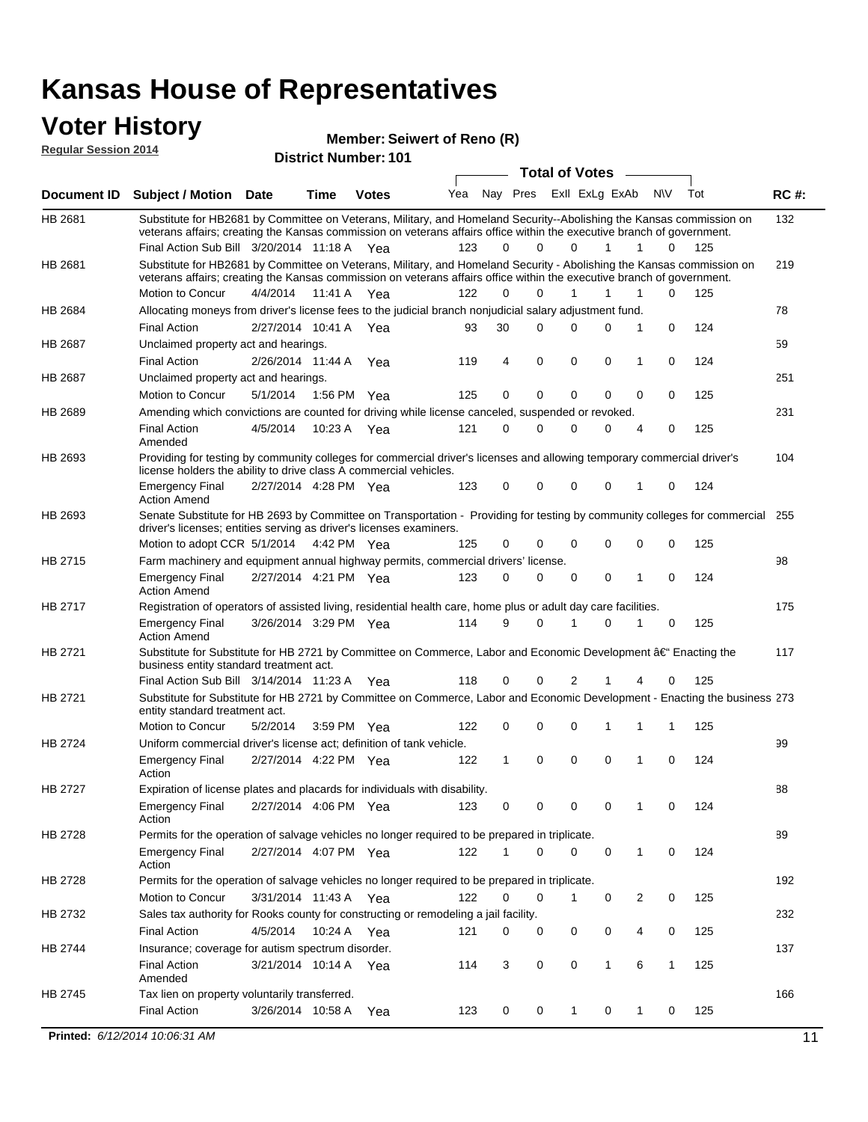### **Voter History**

**Regular Session 2014**

| <b>District Number: 101</b> |  |
|-----------------------------|--|
|                             |  |

|                |                                                                                                                                                                                                                                                                     |                       |             |              |     |              |          | <b>Total of Votes</b> |              | $\sim$         |             |     |             |
|----------------|---------------------------------------------------------------------------------------------------------------------------------------------------------------------------------------------------------------------------------------------------------------------|-----------------------|-------------|--------------|-----|--------------|----------|-----------------------|--------------|----------------|-------------|-----|-------------|
|                | Document ID Subject / Motion Date                                                                                                                                                                                                                                   |                       | Time        | <b>Votes</b> | Yea | Nay Pres     |          | Exll ExLg ExAb        |              |                | <b>NV</b>   | Tot | <b>RC#:</b> |
| HB 2681        | Substitute for HB2681 by Committee on Veterans, Military, and Homeland Security--Abolishing the Kansas commission on<br>veterans affairs; creating the Kansas commission on veterans affairs office within the executive branch of government.                      |                       |             |              |     |              |          |                       |              |                |             |     | 132         |
|                | Final Action Sub Bill 3/20/2014 11:18 A Yea                                                                                                                                                                                                                         |                       |             |              | 123 | 0            | $\Omega$ | $\Omega$              | $\mathbf{1}$ | $\mathbf{1}$   | 0           | 125 |             |
| HB 2681        | Substitute for HB2681 by Committee on Veterans, Military, and Homeland Security - Abolishing the Kansas commission on<br>veterans affairs; creating the Kansas commission on veterans affairs office within the executive branch of government.<br>Motion to Concur | 4/4/2014 11:41 A Yea  |             |              | 122 | 0            | 0        |                       | 1            | 1              | 0           | 125 | 219         |
| HB 2684        | Allocating moneys from driver's license fees to the judicial branch nonjudicial salary adjustment fund.                                                                                                                                                             |                       |             |              |     |              |          |                       |              |                |             |     | 78          |
|                | <b>Final Action</b>                                                                                                                                                                                                                                                 |                       |             |              | 93  | 30           | $\Omega$ | $\Omega$              | $\Omega$     | 1              | 0           | 124 |             |
|                |                                                                                                                                                                                                                                                                     | 2/27/2014 10:41 A Yea |             |              |     |              |          |                       |              |                |             |     |             |
| HB 2687        | Unclaimed property act and hearings.                                                                                                                                                                                                                                |                       |             |              |     |              | 0        |                       | 0            |                |             |     | 59          |
|                | <b>Final Action</b>                                                                                                                                                                                                                                                 | 2/26/2014 11:44 A     |             | Yea          | 119 | 4            |          | 0                     |              | 1              | 0           | 124 |             |
| HB 2687        | Unclaimed property act and hearings.                                                                                                                                                                                                                                |                       |             |              |     | 0            | 0        |                       | $\mathbf{0}$ |                |             |     | 251         |
|                | Motion to Concur                                                                                                                                                                                                                                                    | 5/1/2014              | 1:56 PM Yea |              | 125 |              |          | 0                     |              | 0              | 0           | 125 |             |
| <b>HB 2689</b> | Amending which convictions are counted for driving while license canceled, suspended or revoked.                                                                                                                                                                    |                       |             |              |     |              |          |                       |              |                |             |     | 231         |
|                | <b>Final Action</b><br>Amended                                                                                                                                                                                                                                      | 4/5/2014              | 10:23 A Yea |              | 121 | 0            | 0        | $\Omega$              | 0            | $\overline{4}$ | 0           | 125 |             |
| HB 2693        | Providing for testing by community colleges for commercial driver's licenses and allowing temporary commercial driver's<br>license holders the ability to drive class A commercial vehicles.                                                                        |                       |             |              |     |              |          |                       |              |                |             |     | 104         |
|                | <b>Emergency Final</b><br><b>Action Amend</b>                                                                                                                                                                                                                       | 2/27/2014 4:28 PM Yea |             |              | 123 | 0            | 0        | 0                     | 0            | 1              | 0           | 124 |             |
| HB 2693        | Senate Substitute for HB 2693 by Committee on Transportation - Providing for testing by community colleges for commercial<br>driver's licenses; entities serving as driver's licenses examiners.                                                                    |                       |             |              |     |              |          |                       |              |                |             |     | 255         |
|                | Motion to adopt CCR 5/1/2014 4:42 PM Yea                                                                                                                                                                                                                            |                       |             |              | 125 | 0            | 0        | $\Omega$              | 0            | $\mathbf 0$    | 0           | 125 |             |
| HB 2715        | Farm machinery and equipment annual highway permits, commercial drivers' license.                                                                                                                                                                                   |                       |             |              |     |              |          |                       |              |                |             |     | 98          |
|                | <b>Emergency Final</b><br><b>Action Amend</b>                                                                                                                                                                                                                       | 2/27/2014 4:21 PM Yea |             |              | 123 | 0            | $\Omega$ | $\Omega$              | 0            | 1              | 0           | 124 |             |
| HB 2717        | Registration of operators of assisted living, residential health care, home plus or adult day care facilities.                                                                                                                                                      |                       |             |              |     |              |          |                       |              |                |             |     | 175         |
|                | <b>Emergency Final</b><br><b>Action Amend</b>                                                                                                                                                                                                                       | 3/26/2014 3:29 PM Yea |             |              | 114 | 9            | $\Omega$ | 1                     | 0            | 1              | 0           | 125 |             |
| HB 2721        | Substitute for Substitute for HB 2721 by Committee on Commerce, Labor and Economic Development â€ <sup>4</sup> Enacting the<br>business entity standard treatment act.                                                                                              |                       |             |              |     |              |          |                       |              |                |             |     | 117         |
|                | Final Action Sub Bill 3/14/2014 11:23 A Yea                                                                                                                                                                                                                         |                       |             |              | 118 | 0            | 0        | 2                     | 1            | 4              | 0           | 125 |             |
| HB 2721        | Substitute for Substitute for HB 2721 by Committee on Commerce, Labor and Economic Development - Enacting the business 273<br>entity standard treatment act.                                                                                                        |                       |             |              |     |              |          |                       |              |                |             |     |             |
|                | Motion to Concur                                                                                                                                                                                                                                                    | 5/2/2014              | 3:59 PM Yea |              | 122 | 0            | 0        | 0                     | 1            | 1              | 1           | 125 |             |
| HB 2724        | Uniform commercial driver's license act; definition of tank vehicle.                                                                                                                                                                                                |                       |             |              |     |              |          |                       |              |                |             |     | 99          |
|                | <b>Emergency Final</b><br>Action                                                                                                                                                                                                                                    | 2/27/2014 4:22 PM Yea |             |              | 122 | $\mathbf{1}$ | 0        | 0                     | 0            | 1              | $\mathbf 0$ | 124 |             |
| HB 2727        | Expiration of license plates and placards for individuals with disability.                                                                                                                                                                                          |                       |             |              |     |              |          |                       |              |                |             |     | 88          |
|                | <b>Emergency Final</b><br>Action                                                                                                                                                                                                                                    | 2/27/2014 4:06 PM Yea |             |              | 123 | 0            | 0        | 0                     | 0            | $\mathbf{1}$   | 0           | 124 |             |
| HB 2728        | Permits for the operation of salvage vehicles no longer required to be prepared in triplicate.                                                                                                                                                                      |                       |             |              |     |              |          |                       |              |                |             |     | 89          |
|                | <b>Emergency Final</b><br>Action                                                                                                                                                                                                                                    | 2/27/2014 4:07 PM Yea |             |              | 122 | 1            | 0        | 0                     | 0            | 1              | 0           | 124 |             |
| HB 2728        | Permits for the operation of salvage vehicles no longer required to be prepared in triplicate.                                                                                                                                                                      |                       |             |              |     |              |          |                       |              |                |             |     | 192         |
|                | Motion to Concur                                                                                                                                                                                                                                                    | 3/31/2014 11:43 A Yea |             |              | 122 | 0            | 0        | 1                     | 0            | 2              | 0           | 125 |             |
| HB 2732        | Sales tax authority for Rooks county for constructing or remodeling a jail facility.                                                                                                                                                                                |                       |             |              |     |              |          |                       |              |                |             |     | 232         |
|                | <b>Final Action</b>                                                                                                                                                                                                                                                 | 4/5/2014 10:24 A Yea  |             |              | 121 | 0            | 0        | 0                     | 0            | 4              | 0           | 125 |             |
| HB 2744        | Insurance; coverage for autism spectrum disorder.                                                                                                                                                                                                                   |                       |             |              |     |              |          |                       |              |                |             |     | 137         |
|                | <b>Final Action</b><br>Amended                                                                                                                                                                                                                                      | 3/21/2014 10:14 A Yea |             |              | 114 | 3            | 0        | 0                     | $\mathbf{1}$ | 6              | 1           | 125 |             |
| HB 2745        | Tax lien on property voluntarily transferred.                                                                                                                                                                                                                       |                       |             |              |     |              |          |                       |              |                |             |     | 166         |
|                | <b>Final Action</b>                                                                                                                                                                                                                                                 | 3/26/2014 10:58 A     |             | Yea          | 123 | 0            | 0        | $\mathbf{1}$          | 0            | $\mathbf{1}$   | 0           | 125 |             |
|                | Printed: 6/12/2014 10:06:31 AM                                                                                                                                                                                                                                      |                       |             |              |     |              |          |                       |              |                |             |     | 11          |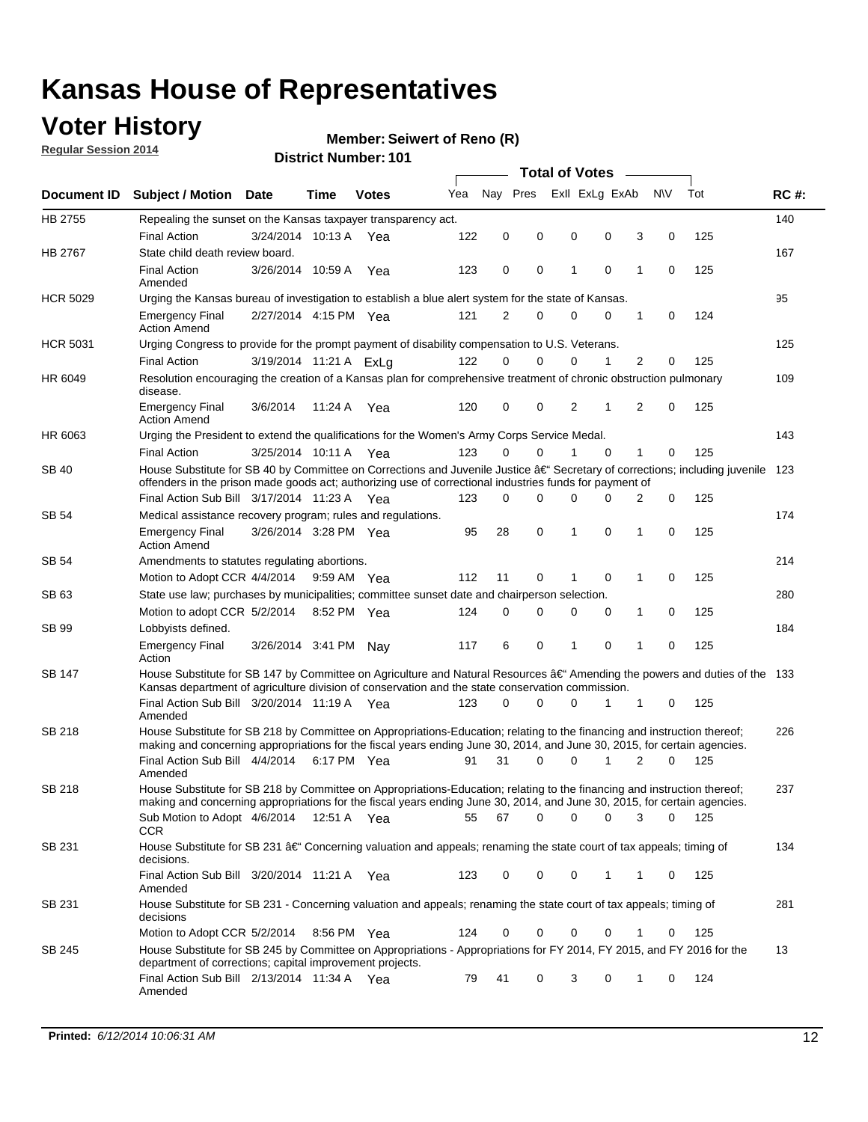### **Voter History**

**Regular Session 2014**

#### **Member: Seiwert of Reno (R)**

|                 |                                                                                                                                                                                                                                                                                     |                        |             |              |     | <b>Total of Votes</b> |          |                |          |   |             |       |             |  |
|-----------------|-------------------------------------------------------------------------------------------------------------------------------------------------------------------------------------------------------------------------------------------------------------------------------------|------------------------|-------------|--------------|-----|-----------------------|----------|----------------|----------|---|-------------|-------|-------------|--|
|                 | Document ID Subject / Motion Date                                                                                                                                                                                                                                                   |                        | Time        | <b>Votes</b> | Yea | Nav Pres              |          | Exll ExLg ExAb |          |   | <b>NV</b>   | Tot   | <b>RC#:</b> |  |
| HB 2755         | Repealing the sunset on the Kansas taxpayer transparency act.                                                                                                                                                                                                                       |                        |             |              |     |                       |          |                |          |   |             |       | 140         |  |
|                 | <b>Final Action</b>                                                                                                                                                                                                                                                                 | 3/24/2014 10:13 A      |             | Yea          | 122 | 0                     | 0        | 0              | 0        | 3 | 0           | 125   |             |  |
| <b>HB 2767</b>  | State child death review board.                                                                                                                                                                                                                                                     |                        |             |              |     |                       |          |                |          |   |             |       | 167         |  |
|                 | <b>Final Action</b><br>Amended                                                                                                                                                                                                                                                      | 3/26/2014 10:59 A      |             | Yea          | 123 | 0                     | 0        | 1              | 0        | 1 | 0           | 125   |             |  |
| <b>HCR 5029</b> | Urging the Kansas bureau of investigation to establish a blue alert system for the state of Kansas.                                                                                                                                                                                 |                        |             |              |     |                       |          |                |          |   |             |       | 95          |  |
|                 | <b>Emergency Final</b><br><b>Action Amend</b>                                                                                                                                                                                                                                       | 2/27/2014 4:15 PM Yea  |             |              | 121 | 2                     | 0        | 0              | 0        | 1 | 0           | 124   |             |  |
| <b>HCR 5031</b> | Urging Congress to provide for the prompt payment of disability compensation to U.S. Veterans.                                                                                                                                                                                      |                        |             |              |     |                       |          |                |          |   |             |       | 125         |  |
|                 | <b>Final Action</b>                                                                                                                                                                                                                                                                 | 3/19/2014 11:21 A ExLg |             |              | 122 | $\Omega$              | $\Omega$ | 0              | 1        | 2 | 0           | 125   |             |  |
| HR 6049         | Resolution encouraging the creation of a Kansas plan for comprehensive treatment of chronic obstruction pulmonary<br>disease.                                                                                                                                                       |                        |             |              |     |                       |          |                |          |   |             |       | 109         |  |
|                 | <b>Emergency Final</b><br><b>Action Amend</b>                                                                                                                                                                                                                                       | 3/6/2014               | 11:24 A Yea |              | 120 | 0                     | 0        | 2              | 1        | 2 | $\mathbf 0$ | 125   |             |  |
| HR 6063         | Urging the President to extend the qualifications for the Women's Army Corps Service Medal.                                                                                                                                                                                         |                        |             |              |     |                       |          |                |          |   |             |       | 143         |  |
|                 | <b>Final Action</b>                                                                                                                                                                                                                                                                 | 3/25/2014 10:11 A Yea  |             |              | 123 | $\Omega$              | 0        | 1              | $\Omega$ | 1 | 0           | 125   |             |  |
| <b>SB 40</b>    | House Substitute for SB 40 by Committee on Corrections and Juvenile Justice †Secretary of corrections; including juvenile<br>offenders in the prison made goods act; authorizing use of correctional industries funds for payment of<br>Final Action Sub Bill 3/17/2014 11:23 A Yea |                        |             |              |     |                       |          |                |          |   |             |       | 123         |  |
|                 |                                                                                                                                                                                                                                                                                     |                        |             |              | 123 | $\Omega$              | 0        | 0              | U        | 2 | 0           | 125   |             |  |
| SB 54           | Medical assistance recovery program; rules and regulations.                                                                                                                                                                                                                         |                        |             |              |     |                       |          |                |          |   |             |       | 174         |  |
|                 | <b>Emergency Final</b><br><b>Action Amend</b>                                                                                                                                                                                                                                       | 3/26/2014 3:28 PM Yea  |             |              | 95  | 28                    | 0        | 1              | 0        | 1 | 0           | 125   |             |  |
| SB 54           | Amendments to statutes regulating abortions.                                                                                                                                                                                                                                        |                        |             |              |     |                       |          |                |          |   |             |       | 214         |  |
|                 | Motion to Adopt CCR 4/4/2014 9:59 AM Yea                                                                                                                                                                                                                                            |                        |             |              | 112 | 11                    | 0        | 1              | 0        | 1 | 0           | 125   |             |  |
| SB 63           | State use law; purchases by municipalities; committee sunset date and chairperson selection.                                                                                                                                                                                        |                        |             |              |     |                       |          |                |          |   |             | 280   |             |  |
|                 | Motion to adopt CCR 5/2/2014 8:52 PM Yea                                                                                                                                                                                                                                            |                        |             |              | 124 | 0                     | 0        | 0              | 0        | 1 | 0           | 125   |             |  |
| SB 99           | Lobbyists defined.                                                                                                                                                                                                                                                                  |                        |             |              |     |                       |          |                |          |   |             |       | 184         |  |
|                 | <b>Emergency Final</b><br>Action                                                                                                                                                                                                                                                    | 3/26/2014 3:41 PM Nay  |             |              | 117 | 6                     | 0        | 1              | 0        | 1 | 0           | 125   |             |  |
| SB 147          | House Substitute for SB 147 by Committee on Agriculture and Natural Resources †Amending the powers and duties of the 133<br>Kansas department of agriculture division of conservation and the state conservation commission.                                                        |                        |             |              |     |                       |          |                |          |   |             |       |             |  |
|                 | Final Action Sub Bill 3/20/2014 11:19 A Yea<br>Amended                                                                                                                                                                                                                              |                        |             |              | 123 | $\Omega$              | $\Omega$ | 0              | 1        | 1 | 0           | 125   |             |  |
| SB 218          | House Substitute for SB 218 by Committee on Appropriations-Education; relating to the financing and instruction thereof;<br>making and concerning appropriations for the fiscal years ending June 30, 2014, and June 30, 2015, for certain agencies.                                |                        |             |              |     |                       |          |                |          |   |             |       | 226         |  |
|                 | Final Action Sub Bill 4/4/2014 6:17 PM Yea                                                                                                                                                                                                                                          |                        |             |              | 91  | 31                    | $\Omega$ | 0              | 1        | 2 | $\Omega$    | 125   |             |  |
|                 | Amended                                                                                                                                                                                                                                                                             |                        |             |              |     |                       |          |                |          |   |             |       |             |  |
| SB 218          | House Substitute for SB 218 by Committee on Appropriations-Education; relating to the financing and instruction thereof;                                                                                                                                                            |                        |             |              |     |                       |          |                |          |   |             |       | 237         |  |
|                 | making and concerning appropriations for the fiscal years ending June 30, 2014, and June 30, 2015, for certain agencies.                                                                                                                                                            |                        |             |              |     |                       |          |                |          |   |             |       |             |  |
|                 | Sub Motion to Adopt 4/6/2014 12:51 A Yea                                                                                                                                                                                                                                            |                        |             |              | 55  | 67                    | 0        | 0              | 0        | 3 | 0           | - 125 |             |  |
| SB 231          | CCR<br>House Substitute for SB 231 †Concerning valuation and appeals; renaming the state court of tax appeals; timing of<br>decisions.                                                                                                                                              |                        |             |              |     |                       |          |                |          |   |             |       | 134         |  |
|                 | Final Action Sub Bill 3/20/2014 11:21 A Yea<br>Amended                                                                                                                                                                                                                              |                        |             |              | 123 | 0                     | 0        | 0              | 1        | 1 | 0           | 125   |             |  |
| SB 231          | House Substitute for SB 231 - Concerning valuation and appeals; renaming the state court of tax appeals; timing of<br>decisions                                                                                                                                                     |                        |             |              |     |                       |          |                |          |   |             |       | 281         |  |
|                 | Motion to Adopt CCR 5/2/2014                                                                                                                                                                                                                                                        |                        | 8:56 PM Yea |              | 124 | 0                     | 0        | 0              | 0        | 1 | 0           | 125   |             |  |
| SB 245          | House Substitute for SB 245 by Committee on Appropriations - Appropriations for FY 2014, FY 2015, and FY 2016 for the<br>department of corrections; capital improvement projects.                                                                                                   |                        |             |              |     |                       |          |                |          |   |             |       | 13          |  |
|                 | Final Action Sub Bill 2/13/2014 11:34 A Yea<br>Amended                                                                                                                                                                                                                              |                        |             |              | 79  | 41                    | 0        | 3              | 0        | 1 | 0           | 124   |             |  |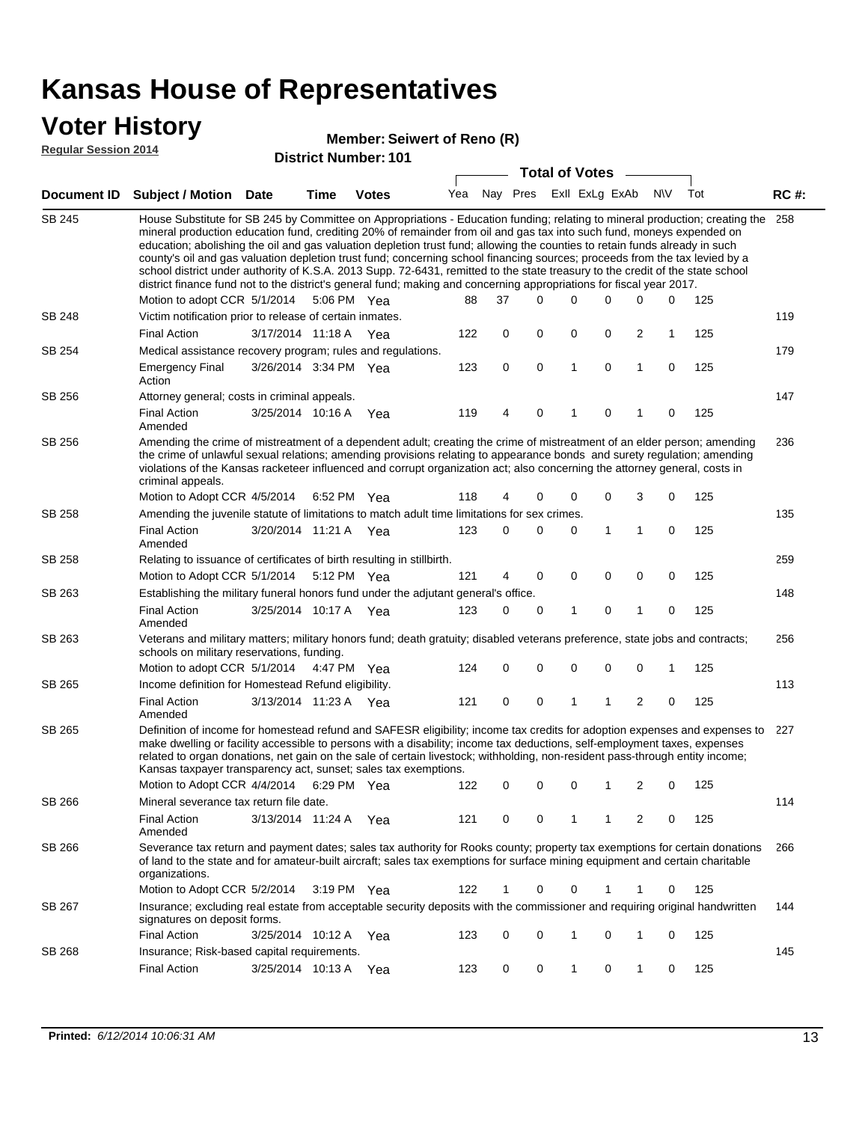### **Voter History**

#### **Member: Seiwert of Reno (R)**

**Regular Session 2014**

|               |                                                                                                                                                                                                                                                                                                                                                                                                                                                                                                                                                                                                                                                                                                                                                                                                                                                                                 |                       |      | DISTICI NUMBER TO L |     |          |   | <b>Total of Votes</b> |              |                |                         |           |     |             |
|---------------|---------------------------------------------------------------------------------------------------------------------------------------------------------------------------------------------------------------------------------------------------------------------------------------------------------------------------------------------------------------------------------------------------------------------------------------------------------------------------------------------------------------------------------------------------------------------------------------------------------------------------------------------------------------------------------------------------------------------------------------------------------------------------------------------------------------------------------------------------------------------------------|-----------------------|------|---------------------|-----|----------|---|-----------------------|--------------|----------------|-------------------------|-----------|-----|-------------|
|               | Document ID Subject / Motion                                                                                                                                                                                                                                                                                                                                                                                                                                                                                                                                                                                                                                                                                                                                                                                                                                                    | Date                  | Time | <b>Votes</b>        | Yea | Nay Pres |   |                       |              | Exll ExLg ExAb |                         | <b>NV</b> | Tot | <b>RC#:</b> |
| <b>SB 245</b> | House Substitute for SB 245 by Committee on Appropriations - Education funding; relating to mineral production; creating the<br>mineral production education fund, crediting 20% of remainder from oil and gas tax into such fund, moneys expended on<br>education; abolishing the oil and gas valuation depletion trust fund; allowing the counties to retain funds already in such<br>county's oil and gas valuation depletion trust fund; concerning school financing sources; proceeds from the tax levied by a<br>school district under authority of K.S.A. 2013 Supp. 72-6431, remitted to the state treasury to the credit of the state school<br>district finance fund not to the district's general fund; making and concerning appropriations for fiscal year 2017.<br>Motion to adopt CCR 5/1/2014<br>5:06 PM Yea<br>88<br>37<br>$\Omega$<br>0<br>0<br>0<br>0<br>125 |                       |      |                     |     |          |   |                       |              |                |                         |           |     |             |
| SB 248        | Victim notification prior to release of certain inmates.                                                                                                                                                                                                                                                                                                                                                                                                                                                                                                                                                                                                                                                                                                                                                                                                                        |                       |      |                     |     |          |   |                       |              |                |                         |           |     | 119         |
|               | <b>Final Action</b>                                                                                                                                                                                                                                                                                                                                                                                                                                                                                                                                                                                                                                                                                                                                                                                                                                                             | 3/17/2014 11:18 A Yea |      |                     | 122 | 0        |   | 0                     | 0            | 0              | $\overline{2}$          | 1         | 125 |             |
| SB 254        | Medical assistance recovery program; rules and regulations.                                                                                                                                                                                                                                                                                                                                                                                                                                                                                                                                                                                                                                                                                                                                                                                                                     |                       |      |                     |     |          |   |                       |              |                |                         |           |     | 179         |
|               | <b>Emergency Final</b><br>Action                                                                                                                                                                                                                                                                                                                                                                                                                                                                                                                                                                                                                                                                                                                                                                                                                                                | 3/26/2014 3:34 PM Yea |      |                     | 123 | 0        |   | 0                     | $\mathbf{1}$ | 0              | $\mathbf{1}$            | 0         | 125 |             |
| SB 256        | Attorney general; costs in criminal appeals.                                                                                                                                                                                                                                                                                                                                                                                                                                                                                                                                                                                                                                                                                                                                                                                                                                    |                       |      |                     |     |          |   |                       |              |                |                         |           |     | 147         |
|               | <b>Final Action</b><br>Amended                                                                                                                                                                                                                                                                                                                                                                                                                                                                                                                                                                                                                                                                                                                                                                                                                                                  | 3/25/2014 10:16 A     |      | Yea                 | 119 | 4        |   | 0                     | 1            | 0              | 1                       | 0         | 125 |             |
| SB 256        | Amending the crime of mistreatment of a dependent adult; creating the crime of mistreatment of an elder person; amending<br>the crime of unlawful sexual relations; amending provisions relating to appearance bonds and surety regulation; amending<br>violations of the Kansas racketeer influenced and corrupt organization act; also concerning the attorney general, costs in<br>criminal appeals.                                                                                                                                                                                                                                                                                                                                                                                                                                                                         |                       |      |                     |     |          |   |                       |              |                |                         |           |     | 236         |
|               | Motion to Adopt CCR 4/5/2014 6:52 PM Yea                                                                                                                                                                                                                                                                                                                                                                                                                                                                                                                                                                                                                                                                                                                                                                                                                                        |                       |      |                     | 118 | 4        |   | 0                     | 0            | 0              | 3                       | 0         | 125 |             |
| SB 258        | Amending the juvenile statute of limitations to match adult time limitations for sex crimes.                                                                                                                                                                                                                                                                                                                                                                                                                                                                                                                                                                                                                                                                                                                                                                                    |                       |      |                     |     |          |   |                       |              |                |                         |           |     | 135         |
|               | <b>Final Action</b><br>Amended                                                                                                                                                                                                                                                                                                                                                                                                                                                                                                                                                                                                                                                                                                                                                                                                                                                  | 3/20/2014 11:21 A Yea |      |                     | 123 |          | 0 | 0                     | 0            | 1              | 1                       | 0         | 125 |             |
| SB 258        | Relating to issuance of certificates of birth resulting in stillbirth.                                                                                                                                                                                                                                                                                                                                                                                                                                                                                                                                                                                                                                                                                                                                                                                                          |                       |      |                     |     |          |   |                       |              |                |                         |           |     | 259         |
|               | Motion to Adopt CCR 5/1/2014 5:12 PM Yea                                                                                                                                                                                                                                                                                                                                                                                                                                                                                                                                                                                                                                                                                                                                                                                                                                        |                       |      |                     | 121 | 4        |   | 0                     | 0            | $\mathbf 0$    | 0                       | 0         | 125 |             |
| SB 263        | Establishing the military funeral honors fund under the adjutant general's office.                                                                                                                                                                                                                                                                                                                                                                                                                                                                                                                                                                                                                                                                                                                                                                                              |                       |      |                     |     |          |   |                       |              |                |                         |           |     | 148         |
|               | <b>Final Action</b><br>Amended                                                                                                                                                                                                                                                                                                                                                                                                                                                                                                                                                                                                                                                                                                                                                                                                                                                  | 3/25/2014 10:17 A Yea |      |                     | 123 | 0        |   | 0                     | 1            | 0              | 1                       | 0         | 125 |             |
| SB 263        | Veterans and military matters; military honors fund; death gratuity; disabled veterans preference, state jobs and contracts;<br>schools on military reservations, funding.                                                                                                                                                                                                                                                                                                                                                                                                                                                                                                                                                                                                                                                                                                      |                       |      |                     |     |          |   |                       |              |                |                         |           |     | 256         |
|               | Motion to adopt CCR 5/1/2014 4:47 PM Yea                                                                                                                                                                                                                                                                                                                                                                                                                                                                                                                                                                                                                                                                                                                                                                                                                                        |                       |      |                     | 124 | 0        |   | 0                     | 0            | 0              | $\mathbf 0$             | 1         | 125 |             |
| SB 265        | Income definition for Homestead Refund eligibility.                                                                                                                                                                                                                                                                                                                                                                                                                                                                                                                                                                                                                                                                                                                                                                                                                             |                       |      |                     |     |          |   |                       |              |                |                         |           |     | 113         |
|               | <b>Final Action</b><br>Amended                                                                                                                                                                                                                                                                                                                                                                                                                                                                                                                                                                                                                                                                                                                                                                                                                                                  | 3/13/2014 11:23 A Yea |      |                     | 121 | 0        |   | 0                     | 1            | 1              | $\overline{\mathbf{c}}$ | 0         | 125 |             |
| SB 265        | Definition of income for homestead refund and SAFESR eligibility; income tax credits for adoption expenses and expenses to<br>make dwelling or facility accessible to persons with a disability; income tax deductions, self-employment taxes, expenses<br>related to organ donations, net gain on the sale of certain livestock; withholding, non-resident pass-through entity income;<br>Kansas taxpayer transparency act, sunset; sales tax exemptions.<br>Motion to Adopt CCR 4/4/2014                                                                                                                                                                                                                                                                                                                                                                                      |                       |      | 6:29 PM Yea         | 122 | 0        |   | 0                     | 0            | 1              | 2                       | 0         | 125 | 227         |
| SB 266        | Mineral severance tax return file date.                                                                                                                                                                                                                                                                                                                                                                                                                                                                                                                                                                                                                                                                                                                                                                                                                                         |                       |      |                     |     |          |   |                       |              |                |                         |           |     | 114         |
|               | <b>Final Action</b><br>Amended                                                                                                                                                                                                                                                                                                                                                                                                                                                                                                                                                                                                                                                                                                                                                                                                                                                  | 3/13/2014 11:24 A     |      | Yea                 | 121 | 0        |   | 0                     | 1            | 1              | 2                       | 0         | 125 |             |
| SB 266        | Severance tax return and payment dates; sales tax authority for Rooks county; property tax exemptions for certain donations<br>of land to the state and for amateur-built aircraft; sales tax exemptions for surface mining equipment and certain charitable<br>organizations.                                                                                                                                                                                                                                                                                                                                                                                                                                                                                                                                                                                                  |                       |      |                     |     |          |   |                       |              |                |                         |           |     | 266         |
|               | Motion to Adopt CCR 5/2/2014                                                                                                                                                                                                                                                                                                                                                                                                                                                                                                                                                                                                                                                                                                                                                                                                                                                    |                       |      | 3:19 PM Yea         | 122 | 1        |   | 0                     | 0            | 1              | 1                       | 0         | 125 |             |
| SB 267        | Insurance; excluding real estate from acceptable security deposits with the commissioner and requiring original handwritten<br>signatures on deposit forms.                                                                                                                                                                                                                                                                                                                                                                                                                                                                                                                                                                                                                                                                                                                     |                       |      |                     |     |          |   |                       |              |                |                         |           |     | 144         |
|               | <b>Final Action</b>                                                                                                                                                                                                                                                                                                                                                                                                                                                                                                                                                                                                                                                                                                                                                                                                                                                             | 3/25/2014 10:12 A     |      | Yea                 | 123 | 0        |   | 0                     | 1            | 0              | 1                       | 0         | 125 |             |
| SB 268        | Insurance; Risk-based capital requirements.                                                                                                                                                                                                                                                                                                                                                                                                                                                                                                                                                                                                                                                                                                                                                                                                                                     |                       |      |                     |     |          |   |                       |              |                |                         |           |     | 145         |
|               | <b>Final Action</b>                                                                                                                                                                                                                                                                                                                                                                                                                                                                                                                                                                                                                                                                                                                                                                                                                                                             | 3/25/2014 10:13 A     |      | Yea                 | 123 | 0        |   | 0                     | 1            | 0              | 1                       | 0         | 125 |             |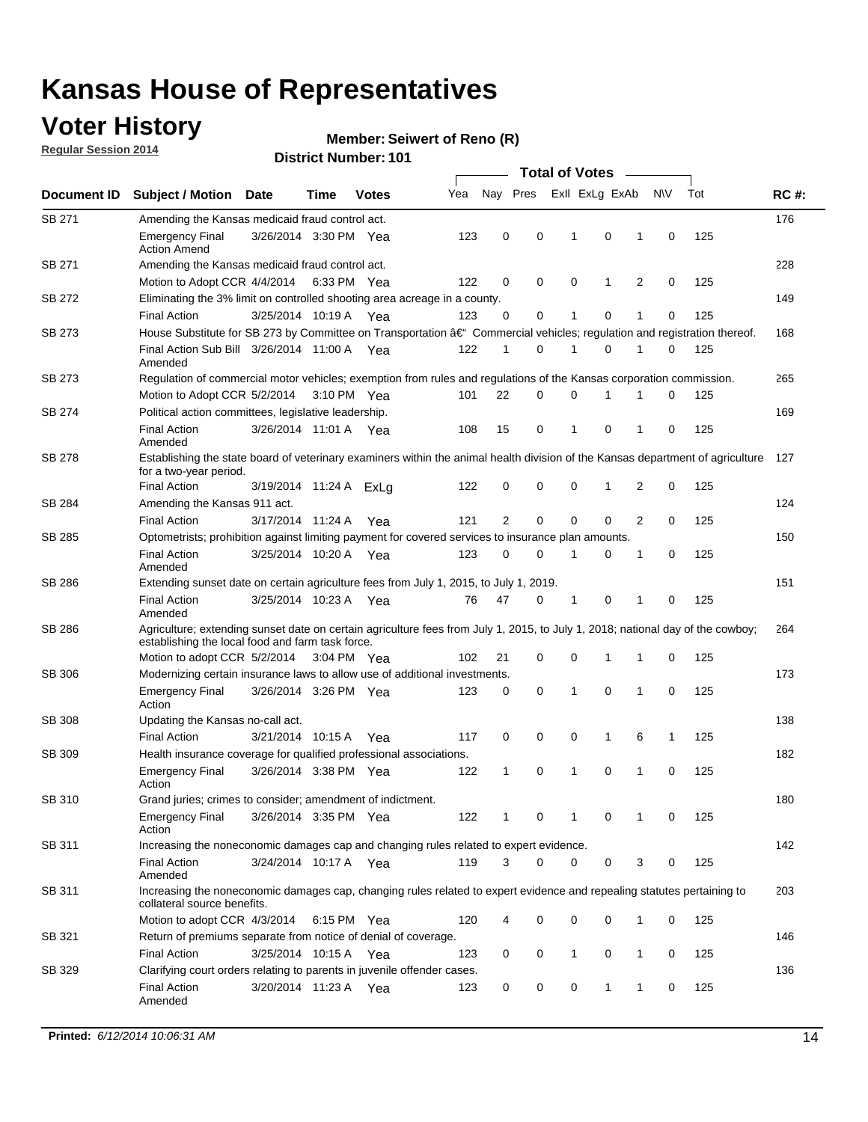### **Voter History**

**Regular Session 2014**

#### **Member: Seiwert of Reno (R)**

|               |                                                                                                                                                                                    |                        |             |              |     | <b>Total of Votes</b> |             |                |              |              |             |     |             |  |  |  |  |  |  |  |
|---------------|------------------------------------------------------------------------------------------------------------------------------------------------------------------------------------|------------------------|-------------|--------------|-----|-----------------------|-------------|----------------|--------------|--------------|-------------|-----|-------------|--|--|--|--|--|--|--|
| Document ID   | <b>Subject / Motion Date</b>                                                                                                                                                       |                        | Time        | <b>Votes</b> | Yea | Nay Pres              |             | Exll ExLg ExAb |              |              | <b>NV</b>   | Tot | <b>RC#:</b> |  |  |  |  |  |  |  |
| <b>SB 271</b> | Amending the Kansas medicaid fraud control act.                                                                                                                                    |                        |             |              |     |                       |             |                |              |              |             |     | 176         |  |  |  |  |  |  |  |
|               | <b>Emergency Final</b><br><b>Action Amend</b>                                                                                                                                      | 3/26/2014 3:30 PM Yea  |             |              | 123 | 0                     | 0           | $\mathbf{1}$   | 0            | 1            | $\mathbf 0$ | 125 |             |  |  |  |  |  |  |  |
| SB 271        | Amending the Kansas medicaid fraud control act.                                                                                                                                    |                        |             |              |     |                       |             |                |              |              |             |     | 228         |  |  |  |  |  |  |  |
|               | Motion to Adopt CCR 4/4/2014 6:33 PM Yea                                                                                                                                           |                        |             |              | 122 | 0                     | 0           | 0              | 1            | 2            | 0           | 125 |             |  |  |  |  |  |  |  |
| SB 272        | Eliminating the 3% limit on controlled shooting area acreage in a county.                                                                                                          |                        |             |              |     |                       |             |                |              |              |             |     | 149         |  |  |  |  |  |  |  |
|               | <b>Final Action</b>                                                                                                                                                                | 3/25/2014 10:19 A Yea  |             |              | 123 | 0                     | 0           | 1              | 0            | 1            | 0           | 125 |             |  |  |  |  |  |  |  |
| SB 273        | House Substitute for SB 273 by Committee on Transportation †Commercial vehicles; regulation and registration thereof.                                                              |                        |             |              |     |                       |             |                |              |              |             |     | 168         |  |  |  |  |  |  |  |
|               | Final Action Sub Bill 3/26/2014 11:00 A Yea<br>Amended                                                                                                                             |                        |             |              | 122 | 1                     | 0           | 1              | 0            | 1            | 0           | 125 |             |  |  |  |  |  |  |  |
| SB 273        | Regulation of commercial motor vehicles; exemption from rules and regulations of the Kansas corporation commission.                                                                |                        |             |              |     |                       |             |                |              |              |             |     | 265         |  |  |  |  |  |  |  |
|               | Motion to Adopt CCR 5/2/2014 3:10 PM Yea                                                                                                                                           |                        |             |              | 101 | 22                    | 0           | 0              | 1            | 1            | 0           | 125 |             |  |  |  |  |  |  |  |
| SB 274        | Political action committees, legislative leadership.                                                                                                                               |                        |             |              |     |                       |             |                |              |              |             |     | 169         |  |  |  |  |  |  |  |
|               | <b>Final Action</b><br>Amended                                                                                                                                                     | 3/26/2014 11:01 A Yea  |             |              | 108 | 15                    | 0           | $\mathbf{1}$   | 0            | 1            | 0           | 125 |             |  |  |  |  |  |  |  |
| SB 278        | Establishing the state board of veterinary examiners within the animal health division of the Kansas department of agriculture<br>for a two-year period.                           |                        |             |              |     |                       |             |                |              |              |             |     |             |  |  |  |  |  |  |  |
|               | <b>Final Action</b>                                                                                                                                                                | 3/19/2014 11:24 A ExLg |             |              | 122 | 0                     | 0           | 0              | 1            | 2            | $\mathbf 0$ | 125 |             |  |  |  |  |  |  |  |
| SB 284        | Amending the Kansas 911 act.                                                                                                                                                       |                        |             |              |     |                       |             |                |              |              |             |     | 124         |  |  |  |  |  |  |  |
|               | <b>Final Action</b>                                                                                                                                                                | 3/17/2014 11:24 A      |             | Yea          | 121 | 2                     | $\mathbf 0$ | $\mathbf 0$    | $\mathbf 0$  | 2            | 0           | 125 |             |  |  |  |  |  |  |  |
| SB 285        | Optometrists; prohibition against limiting payment for covered services to insurance plan amounts.                                                                                 |                        |             |              |     |                       |             |                |              |              |             |     | 150         |  |  |  |  |  |  |  |
|               | <b>Final Action</b><br>Amended                                                                                                                                                     | 3/25/2014 10:20 A      |             | Yea          | 123 | 0                     | 0           | $\mathbf{1}$   | 0            | 1            | 0           | 125 |             |  |  |  |  |  |  |  |
| SB 286        | Extending sunset date on certain agriculture fees from July 1, 2015, to July 1, 2019.                                                                                              |                        |             |              |     |                       |             |                |              |              |             |     | 151         |  |  |  |  |  |  |  |
|               | <b>Final Action</b><br>Amended                                                                                                                                                     | 3/25/2014 10:23 A Yea  |             |              | 76  | 47                    | 0           | -1             | 0            | 1            | 0           | 125 |             |  |  |  |  |  |  |  |
| SB 286        | Agriculture; extending sunset date on certain agriculture fees from July 1, 2015, to July 1, 2018; national day of the cowboy;<br>establishing the local food and farm task force. |                        |             |              |     |                       |             |                |              |              |             |     | 264         |  |  |  |  |  |  |  |
|               | Motion to adopt CCR 5/2/2014 3:04 PM Yea                                                                                                                                           |                        |             |              | 102 | 21                    | 0           | 0              | $\mathbf{1}$ | 1            | 0           | 125 |             |  |  |  |  |  |  |  |
| SB 306        | Modernizing certain insurance laws to allow use of additional investments.                                                                                                         |                        |             |              |     |                       |             |                |              |              |             |     | 173         |  |  |  |  |  |  |  |
|               | <b>Emergency Final</b><br>Action                                                                                                                                                   | 3/26/2014 3:26 PM Yea  |             |              | 123 | 0                     | 0           | $\mathbf{1}$   | 0            | 1            | 0           | 125 |             |  |  |  |  |  |  |  |
| <b>SB 308</b> | Updating the Kansas no-call act.                                                                                                                                                   |                        |             |              |     |                       |             |                |              |              |             |     | 138         |  |  |  |  |  |  |  |
|               | <b>Final Action</b>                                                                                                                                                                | 3/21/2014 10:15 A      |             | Yea          | 117 | 0                     | 0           | 0              | $\mathbf{1}$ | 6            | 1           | 125 |             |  |  |  |  |  |  |  |
| SB 309        | Health insurance coverage for qualified professional associations.                                                                                                                 |                        |             |              |     |                       |             |                |              |              |             |     | 182         |  |  |  |  |  |  |  |
|               | <b>Emergency Final</b><br>Action                                                                                                                                                   | 3/26/2014 3:38 PM Yea  |             |              | 122 | 1                     | 0           | 1              | 0            | 1            | 0           | 125 |             |  |  |  |  |  |  |  |
| SB 310        | Grand juries; crimes to consider; amendment of indictment.                                                                                                                         |                        |             |              |     |                       |             |                |              |              |             |     | 180         |  |  |  |  |  |  |  |
|               | Emergency Final<br>Action                                                                                                                                                          | 3/26/2014 3:35 PM Yea  |             |              | 122 | 1                     | 0           | 1              | 0            | 1            | 0           | 125 |             |  |  |  |  |  |  |  |
| SB 311        | Increasing the noneconomic damages cap and changing rules related to expert evidence.                                                                                              |                        |             |              |     |                       |             |                |              |              |             |     | 142         |  |  |  |  |  |  |  |
|               | <b>Final Action</b><br>Amended                                                                                                                                                     | 3/24/2014 10:17 A Yea  |             |              | 119 | 3                     | 0           | 0              | 0            | 3            | 0           | 125 |             |  |  |  |  |  |  |  |
| SB 311        | Increasing the noneconomic damages cap, changing rules related to expert evidence and repealing statutes pertaining to<br>collateral source benefits.                              |                        |             |              |     |                       |             |                |              |              |             |     | 203         |  |  |  |  |  |  |  |
|               | Motion to adopt CCR 4/3/2014                                                                                                                                                       |                        | 6:15 PM Yea |              | 120 | 4                     | 0           | 0              | 0            | 1            | 0           | 125 |             |  |  |  |  |  |  |  |
| SB 321        | Return of premiums separate from notice of denial of coverage.                                                                                                                     |                        |             |              |     |                       |             |                |              |              |             |     | 146         |  |  |  |  |  |  |  |
|               | <b>Final Action</b>                                                                                                                                                                | 3/25/2014 10:15 A Yea  |             |              | 123 | 0                     | 0           | $\mathbf{1}$   | 0            | $\mathbf{1}$ | 0           | 125 |             |  |  |  |  |  |  |  |
| SB 329        | Clarifying court orders relating to parents in juvenile offender cases.                                                                                                            |                        |             |              |     |                       |             |                |              |              |             |     | 136         |  |  |  |  |  |  |  |
|               | <b>Final Action</b><br>Amended                                                                                                                                                     | 3/20/2014 11:23 A Yea  |             |              | 123 | 0                     | 0           | 0              | 1            | 1            | 0           | 125 |             |  |  |  |  |  |  |  |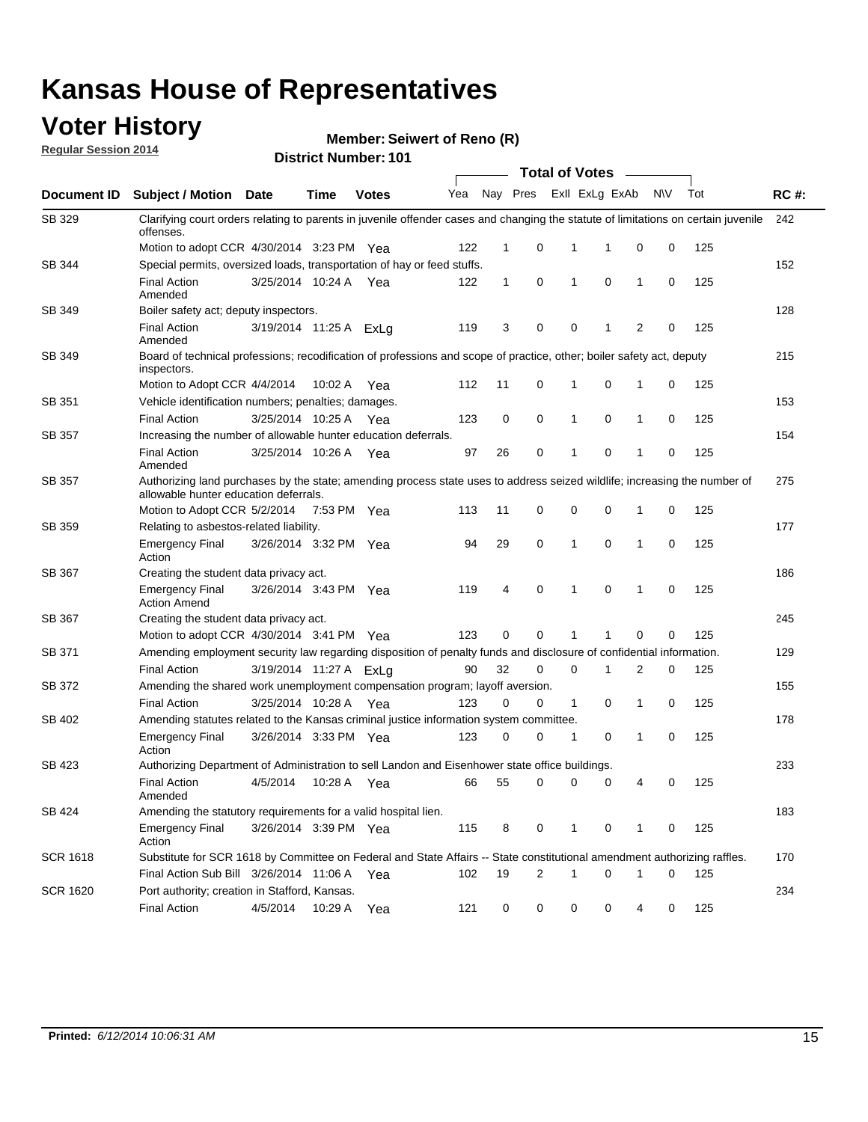### **Voter History**

**Regular Session 2014**

**Member: Seiwert of Reno (R)** 

|                 |                                                                                                                                                                    |                        |             |              | <b>Total of Votes</b> |              |          |              |                |              |           |     |             |  |  |
|-----------------|--------------------------------------------------------------------------------------------------------------------------------------------------------------------|------------------------|-------------|--------------|-----------------------|--------------|----------|--------------|----------------|--------------|-----------|-----|-------------|--|--|
|                 | Document ID Subject / Motion Date                                                                                                                                  |                        | Time        | <b>Votes</b> | Yea                   |              | Nay Pres |              | Exll ExLg ExAb |              | <b>NV</b> | Tot | <b>RC#:</b> |  |  |
| SB 329          | Clarifying court orders relating to parents in juvenile offender cases and changing the statute of limitations on certain juvenile<br>offenses.                    |                        |             |              |                       |              |          |              |                |              |           |     | 242         |  |  |
|                 | Motion to adopt CCR 4/30/2014 3:23 PM Yea                                                                                                                          |                        |             |              | 122                   | $\mathbf 1$  | 0        | 1            | -1             | 0            | 0         | 125 |             |  |  |
| SB 344          | Special permits, oversized loads, transportation of hay or feed stuffs.                                                                                            |                        |             |              |                       |              |          |              |                |              |           |     | 152         |  |  |
|                 | <b>Final Action</b><br>Amended                                                                                                                                     | 3/25/2014 10:24 A      |             | Yea          | 122                   | $\mathbf{1}$ | 0        | $\mathbf{1}$ | 0              | $\mathbf{1}$ | 0         | 125 |             |  |  |
| <b>SB 349</b>   | Boiler safety act; deputy inspectors.                                                                                                                              |                        |             |              |                       |              |          |              |                |              |           |     | 128         |  |  |
|                 | <b>Final Action</b><br>Amended                                                                                                                                     | 3/19/2014 11:25 A ExLg |             |              | 119                   | 3            | 0        | 0            | 1              | 2            | 0         | 125 |             |  |  |
| SB 349          | Board of technical professions; recodification of professions and scope of practice, other; boiler safety act, deputy<br>inspectors.                               |                        |             |              |                       |              |          |              |                |              |           |     | 215         |  |  |
|                 | Motion to Adopt CCR 4/4/2014                                                                                                                                       |                        | 10:02 A     | Yea          | 112                   | 11           | 0        | 1            | 0              | 1            | 0         | 125 |             |  |  |
| SB 351          | Vehicle identification numbers; penalties; damages.                                                                                                                |                        |             |              |                       |              |          |              |                |              |           |     | 153         |  |  |
|                 | <b>Final Action</b>                                                                                                                                                | 3/25/2014 10:25 A      |             | Yea          | 123                   | 0            | 0        | 1            | 0              | 1            | 0         | 125 |             |  |  |
| SB 357          | Increasing the number of allowable hunter education deferrals.                                                                                                     |                        |             |              |                       |              |          |              |                |              |           |     | 154         |  |  |
|                 | <b>Final Action</b><br>Amended                                                                                                                                     | 3/25/2014 10:26 A      |             | Yea          | 97                    | 26           | 0        | $\mathbf{1}$ | 0              | 1            | 0         | 125 |             |  |  |
| SB 357          | Authorizing land purchases by the state; amending process state uses to address seized wildlife; increasing the number of<br>allowable hunter education deferrals. |                        |             |              |                       |              |          |              |                |              |           |     | 275         |  |  |
|                 | Motion to Adopt CCR 5/2/2014                                                                                                                                       |                        | 7:53 PM Yea |              | 113                   | 11           | 0        | 0            | $\mathbf 0$    | 1            | 0         | 125 |             |  |  |
| SB 359          | Relating to asbestos-related liability.                                                                                                                            |                        |             |              |                       |              |          |              |                |              |           | 177 |             |  |  |
|                 | <b>Emergency Final</b><br>Action                                                                                                                                   | 3/26/2014 3:32 PM Yea  |             |              | 94                    | 29           | 0        | 1            | $\Omega$       | 1            | 0         | 125 |             |  |  |
| <b>SB 367</b>   | Creating the student data privacy act.                                                                                                                             |                        |             |              |                       |              |          |              |                |              |           |     | 186         |  |  |
|                 | <b>Emergency Final</b><br><b>Action Amend</b>                                                                                                                      | 3/26/2014 3:43 PM Yea  |             |              | 119                   | 4            | 0        | $\mathbf{1}$ | 0              | 1            | 0         | 125 |             |  |  |
| SB 367          | Creating the student data privacy act.                                                                                                                             |                        |             |              |                       |              |          |              |                |              |           |     | 245         |  |  |
|                 | Motion to adopt CCR 4/30/2014 3:41 PM Yea                                                                                                                          |                        |             |              | 123                   | 0            | 0        | 1            | 1              | 0            | 0         | 125 |             |  |  |
| SB 371          | Amending employment security law regarding disposition of penalty funds and disclosure of confidential information.                                                |                        |             |              |                       |              |          |              |                |              |           |     | 129         |  |  |
|                 | <b>Final Action</b>                                                                                                                                                | 3/19/2014 11:27 A ExLg |             |              | 90                    | 32           | 0        | $\mathbf 0$  | 1              | 2            | 0         | 125 |             |  |  |
| SB 372          | Amending the shared work unemployment compensation program; layoff aversion.                                                                                       |                        |             |              |                       |              |          |              |                |              |           |     | 155         |  |  |
|                 | <b>Final Action</b>                                                                                                                                                | 3/25/2014 10:28 A      |             | Yea          | 123                   | 0            | 0        | 1            | 0              | 1            | 0         | 125 |             |  |  |
| SB 402          | Amending statutes related to the Kansas criminal justice information system committee.                                                                             |                        |             |              |                       |              |          |              |                |              |           |     | 178         |  |  |
|                 | <b>Emergency Final</b><br>Action                                                                                                                                   | 3/26/2014 3:33 PM Yea  |             |              | 123                   | 0            | 0        | 1            | 0              | $\mathbf{1}$ | 0         | 125 |             |  |  |
| SB 423          | Authorizing Department of Administration to sell Landon and Eisenhower state office buildings.                                                                     |                        |             |              |                       |              |          |              |                |              |           |     | 233         |  |  |
|                 | <b>Final Action</b><br>Amended                                                                                                                                     | 4/5/2014               | 10:28 A     | Yea          | 66                    | 55           | 0        | 0            | 0              | 4            | 0         | 125 |             |  |  |
| SB 424          | Amending the statutory requirements for a valid hospital lien.                                                                                                     |                        |             |              |                       |              |          |              |                |              |           |     | 183         |  |  |
|                 | <b>Emergency Final</b><br>Action                                                                                                                                   | 3/26/2014 3:39 PM Yea  |             |              | 115                   | 8            | 0        | 1            | 0              | 1            | 0         | 125 |             |  |  |
| <b>SCR 1618</b> | Substitute for SCR 1618 by Committee on Federal and State Affairs -- State constitutional amendment authorizing raffles.                                           |                        |             |              |                       |              |          |              |                |              |           |     | 170         |  |  |
|                 | Final Action Sub Bill 3/26/2014 11:06 A Yea                                                                                                                        |                        |             |              | 102                   | 19           | 2        | 1            | 0              | 1            | 0         | 125 |             |  |  |
| <b>SCR 1620</b> | Port authority; creation in Stafford, Kansas.                                                                                                                      |                        |             |              |                       |              |          |              |                |              |           |     | 234         |  |  |
|                 | <b>Final Action</b>                                                                                                                                                | 4/5/2014               | 10:29 A     | Yea          | 121                   | 0            | 0        | 0            | 0              | 4            | 0         | 125 |             |  |  |